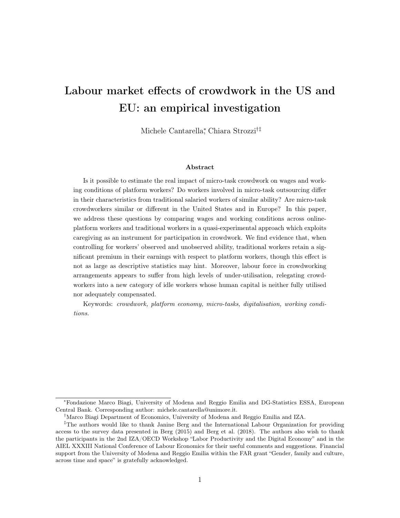# Labour market effects of crowdwork in the US and EU: an empirical investigation

Michele Cantarella<sup>∗</sup> , Chiara Strozzi†‡

#### Abstract

Is it possible to estimate the real impact of micro-task crowdwork on wages and working conditions of platform workers? Do workers involved in micro-task outsourcing differ in their characteristics from traditional salaried workers of similar ability? Are micro-task crowdworkers similar or different in the United States and in Europe? In this paper, we address these questions by comparing wages and working conditions across onlineplatform workers and traditional workers in a quasi-experimental approach which exploits caregiving as an instrument for participation in crowdwork. We find evidence that, when controlling for workers' observed and unobserved ability, traditional workers retain a significant premium in their earnings with respect to platform workers, though this effect is not as large as descriptive statistics may hint. Moreover, labour force in crowdworking arrangements appears to suffer from high levels of under-utilisation, relegating crowdworkers into a new category of idle workers whose human capital is neither fully utilised nor adequately compensated.

Keywords: crowdwork, platform economy, micro-tasks, digitalisation, working conditions.

<sup>∗</sup>Fondazione Marco Biagi, University of Modena and Reggio Emilia and DG-Statistics ESSA, European Central Bank. Corresponding author: michele.cantarella@unimore.it.

<sup>†</sup>Marco Biagi Department of Economics, University of Modena and Reggio Emilia and IZA.

<sup>‡</sup>The authors would like to thank Janine Berg and the International Labour Organization for providing access to the survey data presented in Berg (2015) and Berg et al. (2018). The authors also wish to thank the participants in the 2nd IZA/OECD Workshop "Labor Productivity and the Digital Economy" and in the AIEL XXXIII National Conference of Labour Economics for their useful comments and suggestions. Financial support from the University of Modena and Reggio Emilia within the FAR grant "Gender, family and culture, across time and space" is gratefully acknowledged.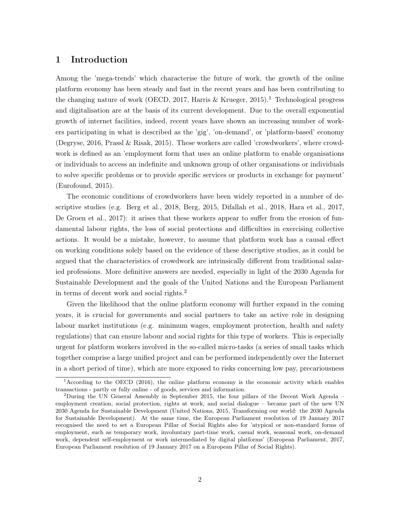#### 1 Introduction

Among the 'mega-trends' which characterise the future of work, the growth of the online platform economy has been steady and fast in the recent years and has been contributing to the changing nature of work (OECD, 2017, Harris  $\&$  Krueger, 2015).<sup>1</sup> Technological progress and digitalisation are at the basis of its current development. Due to the overall exponential growth of internet facilities, indeed, recent years have shown an increasing number of workers participating in what is described as the 'gig', 'on-demand', or 'platform-based' economy (Degryse, 2016, Prassl & Risak, 2015). These workers are called 'crowdworkers', where crowdwork is defined as an 'employment form that uses an online platform to enable organisations or individuals to access an indefinite and unknown group of other organisations or individuals to solve specific problems or to provide specific services or products in exchange for payment' (Eurofound, 2015).

The economic conditions of crowdworkers have been widely reported in a number of descriptive studies (e.g. Berg et al., 2018, Berg, 2015, Difallah et al., 2018, Hara et al., 2017, De Groen et al., 2017): it arises that these workers appear to suffer from the erosion of fundamental labour rights, the loss of social protections and difficulties in exercising collective actions. It would be a mistake, however, to assume that platform work has a causal effect on working conditions solely based on the evidence of these descriptive studies, as it could be argued that the characteristics of crowdwork are intrinsically different from traditional salaried professions. More definitive answers are needed, especially in light of the 2030 Agenda for Sustainable Development and the goals of the United Nations and the European Parliament in terms of decent work and social rights.<sup>2</sup>

Given the likelihood that the online platform economy will further expand in the coming years, it is crucial for governments and social partners to take an active role in designing labour market institutions (e.g. minimum wages, employment protection, health and safety regulations) that can ensure labour and social rights for this type of workers. This is especially urgent for platform workers involved in the so-called micro-tasks (a series of small tasks which together comprise a large unified project and can be performed independently over the Internet in a short period of time), which are more exposed to risks concerning low pay, precariousness

<sup>1</sup>According to the OECD (2016), the online platform economy is the economic activity which enables transactions - partly or fully online - of goods, services and information.

<sup>&</sup>lt;sup>2</sup>During the UN General Assembly in September 2015, the four pillars of the Decent Work Agenda – employment creation, social protection, rights at work, and social dialogue – became part of the new UN 2030 Agenda for Sustainable Development (United Nations, 2015, Transforming our world: the 2030 Agenda for Sustainable Development). At the same time, the European Parliament resolution of 19 January 2017 recognised the need to set a European Pillar of Social Rights also for 'atypical or non-standard forms of employment, such as temporary work, involuntary part-time work, casual work, seasonal work, on-demand work, dependent self-employment or work intermediated by digital platforms' (European Parliament, 2017, European Parliament resolution of 19 January 2017 on a European Pillar of Social Rights).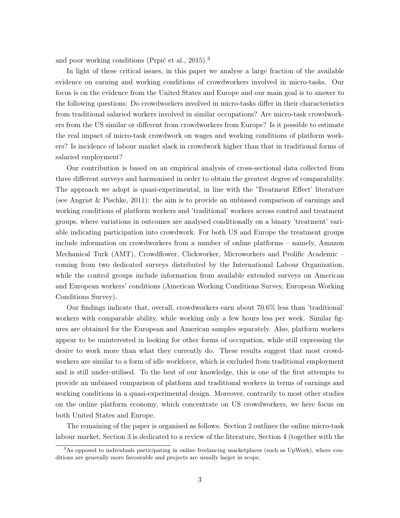and poor working conditions (Prpić et al., 2015).<sup>3</sup>

In light of these critical issues, in this paper we analyse a large fraction of the available evidence on earning and working conditions of crowdworkers involved in micro-tasks. Our focus is on the evidence from the United States and Europe and our main goal is to answer to the following questions: Do crowdworkers involved in micro-tasks differ in their characteristics from traditional salaried workers involved in similar occupations? Are micro-task crowdworkers from the US similar or different from crowdworkers from Europe? Is it possible to estimate the real impact of micro-task crowdwork on wages and working conditions of platform workers? Is incidence of labour market slack in crowdwork higher than that in traditional forms of salaried employment?

Our contribution is based on an empirical analysis of cross-sectional data collected from three different surveys and harmonised in order to obtain the greatest degree of comparability. The approach we adopt is quasi-experimental, in line with the 'Treatment Effect' literature (see Angrist & Pischke, 2011): the aim is to provide an unbiased comparison of earnings and working conditions of platform workers and 'traditional' workers across control and treatment groups, where variations in outcomes are analysed conditionally on a binary 'treatment' variable indicating participation into crowdwork. For both US and Europe the treatment groups include information on crowdworkers from a number of online platforms – namely, Amazon Mechanical Turk (AMT), Crowdflower, Clickworker, Microworkers and Prolific Academic – coming from two dedicated surveys distributed by the International Labour Organization, while the control groups include information from available extended surveys on American and European workers' conditions (American Working Conditions Survey, European Working Conditions Survey).

Our findings indicate that, overall, crowdworkers earn about 70.6% less than 'traditional' workers with comparable ability, while working only a few hours less per week. Similar figures are obtained for the European and American samples separately. Also, platform workers appear to be uninterested in looking for other forms of occupation, while still expressing the desire to work more than what they currently do. These results suggest that most crowdworkers are similar to a form of idle workforce, which is excluded from traditional employment and is still under-utilised. To the best of our knowledge, this is one of the first attempts to provide an unbiased comparison of platform and traditional workers in terms of earnings and working conditions in a quasi-experimental design. Moreover, contrarily to most other studies on the online platform economy, which concentrate on US crowdworkers, we here focus on both United States and Europe.

The remaining of the paper is organised as follows. Section 2 outlines the online micro-task labour market, Section 3 is dedicated to a review of the literature, Section 4 (together with the

<sup>3</sup>As opposed to individuals participating in online freelancing marketplaces (such as UpWork), where conditions are generally more favourable and projects are usually larger in scope.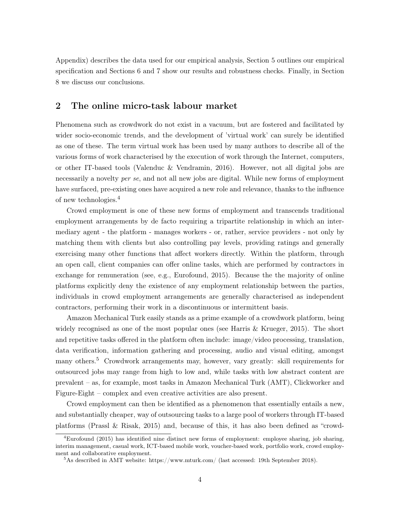Appendix) describes the data used for our empirical analysis, Section 5 outlines our empirical specification and Sections 6 and 7 show our results and robustness checks. Finally, in Section 8 we discuss our conclusions.

### 2 The online micro-task labour market

Phenomena such as crowdwork do not exist in a vacuum, but are fostered and facilitated by wider socio-economic trends, and the development of 'virtual work' can surely be identified as one of these. The term virtual work has been used by many authors to describe all of the various forms of work characterised by the execution of work through the Internet, computers, or other IT-based tools (Valenduc & Vendramin, 2016). However, not all digital jobs are necessarily a novelty *per se*, and not all new jobs are digital. While new forms of employment have surfaced, pre-existing ones have acquired a new role and relevance, thanks to the influence of new technologies.<sup>4</sup>

Crowd employment is one of these new forms of employment and transcends traditional employment arrangements by de facto requiring a tripartite relationship in which an intermediary agent - the platform - manages workers - or, rather, service providers - not only by matching them with clients but also controlling pay levels, providing ratings and generally exercising many other functions that affect workers directly. Within the platform, through an open call, client companies can offer online tasks, which are performed by contractors in exchange for remuneration (see, e.g., Eurofound, 2015). Because the the majority of online platforms explicitly deny the existence of any employment relationship between the parties, individuals in crowd employment arrangements are generally characterised as independent contractors, performing their work in a discontinuous or intermittent basis.

Amazon Mechanical Turk easily stands as a prime example of a crowdwork platform, being widely recognised as one of the most popular ones (see Harris & Krueger, 2015). The short and repetitive tasks offered in the platform often include: image/video processing, translation, data verification, information gathering and processing, audio and visual editing, amongst many others.<sup>5</sup> Crowdwork arrangements may, however, vary greatly: skill requirements for outsourced jobs may range from high to low and, while tasks with low abstract content are prevalent – as, for example, most tasks in Amazon Mechanical Turk (AMT), Clickworker and Figure-Eight – complex and even creative activities are also present.

Crowd employment can then be identified as a phenomenon that essentially entails a new, and substantially cheaper, way of outsourcing tasks to a large pool of workers through IT-based platforms (Prassl & Risak, 2015) and, because of this, it has also been defined as "crowd-

 $4Eurofound (2015)$  has identified nine distinct new forms of employment: employee sharing, job sharing, interim management, casual work, ICT-based mobile work, voucher-based work, portfolio work, crowd employment and collaborative employment.

 $5$ As described in AMT website: https://www.mturk.com/ (last accessed: 19th September 2018).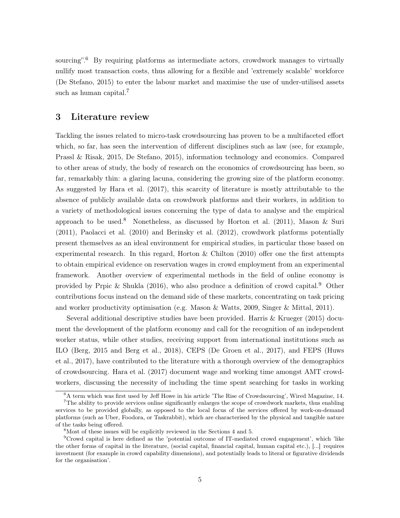sourcing".<sup>6</sup> By requiring platforms as intermediate actors, crowdwork manages to virtually nullify most transaction costs, thus allowing for a flexible and 'extremely scalable' workforce (De Stefano, 2015) to enter the labour market and maximise the use of under-utilised assets such as human capital.<sup>7</sup>

#### 3 Literature review

Tackling the issues related to micro-task crowdsourcing has proven to be a multifaceted effort which, so far, has seen the intervention of different disciplines such as law (see, for example, Prassl & Risak, 2015, De Stefano, 2015), information technology and economics. Compared to other areas of study, the body of research on the economics of crowdsourcing has been, so far, remarkably thin: a glaring lacuna, considering the growing size of the platform economy. As suggested by Hara et al. (2017), this scarcity of literature is mostly attributable to the absence of publicly available data on crowdwork platforms and their workers, in addition to a variety of methodological issues concerning the type of data to analyse and the empirical approach to be used.<sup>8</sup> Nonetheless, as discussed by Horton et al. (2011), Mason & Suri (2011), Paolacci et al. (2010) and Berinsky et al. (2012), crowdwork platforms potentially present themselves as an ideal environment for empirical studies, in particular those based on experimental research. In this regard, Horton & Chilton (2010) offer one the first attempts to obtain empirical evidence on reservation wages in crowd employment from an experimental framework. Another overview of experimental methods in the field of online economy is provided by Prpic & Shukla (2016), who also produce a definition of crowd capital.<sup>9</sup> Other contributions focus instead on the demand side of these markets, concentrating on task pricing and worker productivity optimisation (e.g. Mason & Watts, 2009, Singer & Mittal, 2011).

Several additional descriptive studies have been provided. Harris & Krueger (2015) document the development of the platform economy and call for the recognition of an independent worker status, while other studies, receiving support from international institutions such as ILO (Berg, 2015 and Berg et al., 2018), CEPS (De Groen et al., 2017), and FEPS (Huws et al., 2017), have contributed to the literature with a thorough overview of the demographics of crowdsourcing. Hara et al. (2017) document wage and working time amongst AMT crowdworkers, discussing the necessity of including the time spent searching for tasks in working

<sup>6</sup>A term which was first used by Jeff Howe in his article 'The Rise of Crowdsourcing', Wired Magazine, 14.

 $7$ The ability to provide services online significantly enlarges the scope of crowdwork markets, thus enabling services to be provided globally, as opposed to the local focus of the services offered by work-on-demand platforms (such as Uber, Foodora, or Taskrabbit), which are characterised by the physical and tangible nature of the tasks being offered.

<sup>8</sup>Most of these issues will be explicitly reviewed in the Sections 4 and 5.

 $9^9$ Crowd capital is here defined as the 'potential outcome of IT-mediated crowd engagement', which 'like the other forms of capital in the literature, (social capital, financial capital, human capital etc.), [...] requires investment (for example in crowd capability dimensions), and potentially leads to literal or figurative dividends for the organisation'.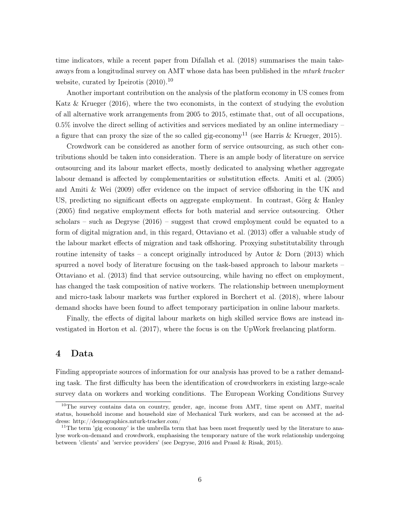time indicators, while a recent paper from Difallah et al. (2018) summarises the main takeaways from a longitudinal survey on AMT whose data has been published in the mturk tracker website, curated by Ipeirotis  $(2010).^{10}$ 

Another important contribution on the analysis of the platform economy in US comes from Katz & Krueger (2016), where the two economists, in the context of studying the evolution of all alternative work arrangements from 2005 to 2015, estimate that, out of all occupations,  $0.5\%$  involve the direct selling of activities and services mediated by an online intermediary – a figure that can proxy the size of the so called gig-economy<sup>11</sup> (see Harris & Krueger, 2015).

Crowdwork can be considered as another form of service outsourcing, as such other contributions should be taken into consideration. There is an ample body of literature on service outsourcing and its labour market effects, mostly dedicated to analysing whether aggregate labour demand is affected by complementarities or substitution effects. Amiti et al. (2005) and Amiti & Wei (2009) offer evidence on the impact of service offshoring in the UK and US, predicting no significant effects on aggregate employment. In contrast, Görg & Hanley (2005) find negative employment effects for both material and service outsourcing. Other scholars – such as Degryse (2016) – suggest that crowd employment could be equated to a form of digital migration and, in this regard, Ottaviano et al. (2013) offer a valuable study of the labour market effects of migration and task offshoring. Proxying substitutability through routine intensity of tasks – a concept originally introduced by Autor & Dorn  $(2013)$  which spurred a novel body of literature focusing on the task-based approach to labour markets – Ottaviano et al. (2013) find that service outsourcing, while having no effect on employment, has changed the task composition of native workers. The relationship between unemployment and micro-task labour markets was further explored in Borchert et al. (2018), where labour demand shocks have been found to affect temporary participation in online labour markets.

Finally, the effects of digital labour markets on high skilled service flows are instead investigated in Horton et al. (2017), where the focus is on the UpWork freelancing platform.

#### 4 Data

Finding appropriate sources of information for our analysis has proved to be a rather demanding task. The first difficulty has been the identification of crowdworkers in existing large-scale survey data on workers and working conditions. The European Working Conditions Survey

<sup>&</sup>lt;sup>10</sup>The survey contains data on country, gender, age, income from AMT, time spent on AMT, marital status, household income and household size of Mechanical Turk workers, and can be accessed at the address: http://demographics.mturk-tracker.com/

<sup>&</sup>lt;sup>11</sup>The term 'gig economy' is the umbrella term that has been most frequently used by the literature to analyse work-on-demand and crowdwork, emphasising the temporary nature of the work relationship undergoing between 'clients' and 'service providers' (see Degryse, 2016 and Prassl & Risak, 2015).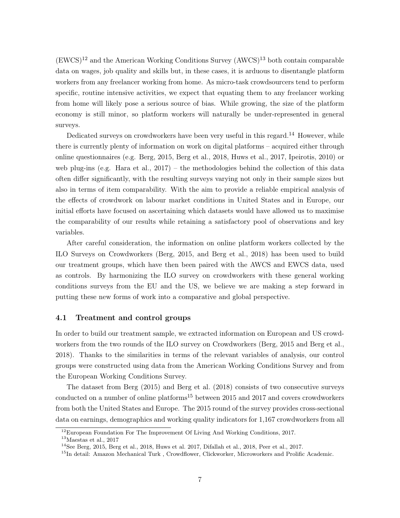$(EWCS)^{12}$  and the American Working Conditions Survey  $(AWCS)^{13}$  both contain comparable data on wages, job quality and skills but, in these cases, it is arduous to disentangle platform workers from any freelancer working from home. As micro-task crowdsourcers tend to perform specific, routine intensive activities, we expect that equating them to any freelancer working from home will likely pose a serious source of bias. While growing, the size of the platform economy is still minor, so platform workers will naturally be under-represented in general surveys.

Dedicated surveys on crowdworkers have been very useful in this regard.<sup>14</sup> However, while there is currently plenty of information on work on digital platforms – acquired either through online questionnaires (e.g. Berg, 2015, Berg et al., 2018, Huws et al., 2017, Ipeirotis, 2010) or web plug-ins (e.g. Hara et al.,  $2017$ ) – the methodologies behind the collection of this data often differ significantly, with the resulting surveys varying not only in their sample sizes but also in terms of item comparability. With the aim to provide a reliable empirical analysis of the effects of crowdwork on labour market conditions in United States and in Europe, our initial efforts have focused on ascertaining which datasets would have allowed us to maximise the comparability of our results while retaining a satisfactory pool of observations and key variables.

After careful consideration, the information on online platform workers collected by the ILO Surveys on Crowdworkers (Berg, 2015, and Berg et al., 2018) has been used to build our treatment groups, which have then been paired with the AWCS and EWCS data, used as controls. By harmonizing the ILO survey on crowdworkers with these general working conditions surveys from the EU and the US, we believe we are making a step forward in putting these new forms of work into a comparative and global perspective.

#### 4.1 Treatment and control groups

In order to build our treatment sample, we extracted information on European and US crowdworkers from the two rounds of the ILO survey on Crowdworkers (Berg, 2015 and Berg et al., 2018). Thanks to the similarities in terms of the relevant variables of analysis, our control groups were constructed using data from the American Working Conditions Survey and from the European Working Conditions Survey.

The dataset from Berg (2015) and Berg et al. (2018) consists of two consecutive surveys conducted on a number of online platforms<sup>15</sup> between 2015 and 2017 and covers crowdworkers from both the United States and Europe. The 2015 round of the survey provides cross-sectional data on earnings, demographics and working quality indicators for 1,167 crowdworkers from all

<sup>&</sup>lt;sup>12</sup>European Foundation For The Improvement Of Living And Working Conditions, 2017.

<sup>13</sup>Maestas et al., 2017

 $14$ See Berg, 2015, Berg et al., 2018, Huws et al. 2017, Difallah et al., 2018, Peer et al., 2017.

<sup>&</sup>lt;sup>15</sup>In detail: Amazon Mechanical Turk, Crowdflower, Clickworker, Microworkers and Prolific Academic.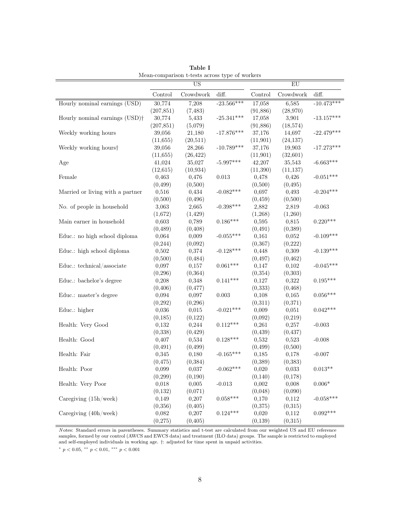|                                            |            | $\overline{US}$ |              |           | $E_{\rm U}$ |              |
|--------------------------------------------|------------|-----------------|--------------|-----------|-------------|--------------|
|                                            | Control    | Crowdwork       | diff.        | Control   | Crowdwork   | diff.        |
| Hourly nominal earnings (USD)              | 30,774     | 7,208           | $-23.566***$ | 17,058    | 6,585       | $-10.473***$ |
|                                            | (207, 851) | (7, 483)        |              | (91,886)  | (28,970)    |              |
| Hourly nominal earnings (USD) <sup>†</sup> | 30,774     | 5,433           | $-25.341***$ | 17,058    | 3,901       | $-13.157***$ |
|                                            | (207, 851) | (5,079)         |              | (91,886)  | (18, 574)   |              |
| Weekly working hours                       | 39,056     | 21,180          | $-17.876***$ | 37,176    | 14,697      | $-22.479***$ |
|                                            | (11,655)   | (20, 511)       |              | (11, 901) | (24, 137)   |              |
| Weekly working hours <sup>†</sup>          | 39,056     | 28,266          | $-10.789***$ | 37,176    | 19,903      | $-17.273***$ |
|                                            | (11, 655)  | (26, 422)       |              | (11,901)  | (32,601)    |              |
| Age                                        | 41,024     | 35,027          | $-5.997***$  | 42,207    | 35,543      | $-6.663***$  |
|                                            | (12, 615)  | (10, 934)       |              | (11,390)  | (11, 137)   |              |
| Female                                     | 0,463      | 0,476           | 0.013        | 0,478     | 0,426       | $-0.051***$  |
|                                            | (0, 499)   | (0,500)         |              | (0,500)   | (0, 495)    |              |
| Married or living with a partner           | 0,516      | 0,434           | $-0.082***$  | 0,697     | 0,493       | $-0.204***$  |
|                                            | (0,500)    | (0, 496)        |              | (0, 459)  | (0,500)     |              |
| No. of people in household                 | 3,063      | 2,665           | $-0.398***$  | 2,882     | 2,819       | $-0.063$     |
|                                            | (1,672)    | (1, 429)        |              | (1,268)   | (1,260)     |              |
| Main earner in household                   | 0,603      | 0,789           | $0.186***$   | 0,595     | 0,815       | $0.220***$   |
|                                            | (0, 489)   | (0, 408)        |              | (0, 491)  | (0, 389)    |              |
| Educ.: no high school diploma              | 0,064      | 0,009           | $-0.055***$  | 0,161     | 0,052       | $-0.109***$  |
|                                            | (0, 244)   | (0,092)         |              | (0, 367)  | (0,222)     |              |
| Educ.: high school diploma                 | 0,502      | 0,374           | $-0.128***$  | 0,448     | 0,309       | $-0.139***$  |
|                                            | (0,500)    | (0, 484)        |              | (0, 497)  | (0, 462)    |              |
| Educ.: technical/associate                 | 0,097      | 0,157           | $0.061***$   | 0,147     | 0,102       | $-0.045***$  |
|                                            | (0, 296)   | (0, 364)        |              | (0,354)   | (0,303)     |              |
| Educ.: bachelor's degree                   | 0,208      | 0,348           | $0.141***$   | 0,127     | 0,322       | $0.195***$   |
|                                            | (0, 406)   | (0, 477)        |              | (0, 333)  | (0, 468)    |              |
| Educ.: master's degree                     | 0,094      | 0,097           | $0.003\,$    | 0,108     | 0,165       | $0.056***$   |
|                                            | (0, 292)   | (0, 296)        |              | (0,311)   | (0,371)     |              |
| Educ.: higher                              | 0,036      | 0,015           | $-0.021***$  | 0,009     | 0,051       | $0.042***$   |
|                                            | (0, 185)   | (0,122)         |              | (0,092)   | (0,219)     |              |
| Health: Very Good                          | 0,132      | 0,244           | $0.112***$   | 0,261     | 0,257       | $-0.003$     |
|                                            | (0, 338)   | (0, 429)        |              | (0, 439)  | (0, 437)    |              |
| Health: Good                               | 0,407      | 0,534           | $0.128***$   | 0,532     | 0,523       | $-0.008$     |
|                                            | (0, 491)   | (0, 499)        |              | (0, 499)  | (0,500)     |              |
| Health: Fair                               | 0,345      | 0,180           | $-0.165***$  | 0,185     | 0,178       | $-0.007$     |
|                                            | (0, 475)   | (0, 384)        |              | (0, 389)  | (0, 383)    |              |
| Health: Poor                               | 0,099      | 0,037           | $-0.062***$  | $0,\!020$ | 0,033       | $0.013**$    |
|                                            | (0, 299)   | (0,190)         |              | (0, 140)  | (0,178)     |              |
| Health: Very Poor                          | 0,018      | 0,005           | $-0.013$     | 0,002     | 0,008       | $0.006*$     |
|                                            | (0, 132)   | (0,071)         |              | (0,048)   | (0,090)     |              |
| Caregiving $(15h/$ week)                   | 0,149      | 0,207           | $0.058***$   | 0,170     | 0,112       | $-0.058***$  |
|                                            | (0, 356)   | (0, 405)        |              | (0,375)   | (0,315)     |              |
| Caregiving $(40h/week)$                    | 0,082      | 0,207           | $0.124***$   | 0,020     | 0,112       | $0.092***$   |
|                                            | (0, 275)   | (0, 405)        |              | (0, 139)  | (0,315)     |              |

Table I Mean-comparison t-tests across type of workers

N otes: Standard errors in parentheses. Summary statistics and t-test are calculated from our weighted US and EU reference samples, formed by our control (AWCS and EWCS data) and treatment (ILO data) groups. The sample is restricted to employed and self-employed individuals in working age. †: adjusted for time spent in unpaid activities.

\*  $p < 0.05$ , \*\*  $p < 0.01$ , \*\*\*  $p < 0.001$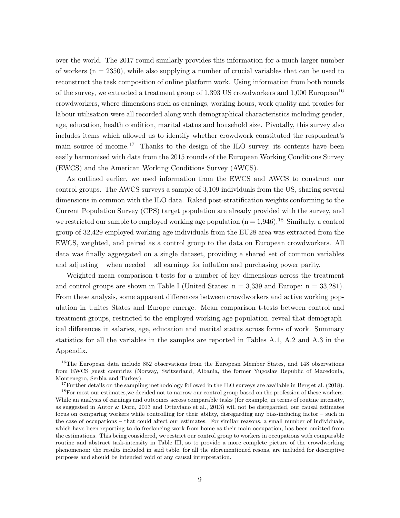over the world. The 2017 round similarly provides this information for a much larger number of workers  $(n = 2350)$ , while also supplying a number of crucial variables that can be used to reconstruct the task composition of online platform work. Using information from both rounds of the survey, we extracted a treatment group of 1,393 US crowdworkers and 1,000 European<sup>16</sup> crowdworkers, where dimensions such as earnings, working hours, work quality and proxies for labour utilisation were all recorded along with demographical characteristics including gender, age, education, health condition, marital status and household size. Pivotally, this survey also includes items which allowed us to identify whether crowdwork constituted the respondent's main source of income.<sup>17</sup> Thanks to the design of the ILO survey, its contents have been easily harmonised with data from the 2015 rounds of the European Working Conditions Survey (EWCS) and the American Working Conditions Survey (AWCS).

As outlined earlier, we used information from the EWCS and AWCS to construct our control groups. The AWCS surveys a sample of 3,109 individuals from the US, sharing several dimensions in common with the ILO data. Raked post-stratification weights conforming to the Current Population Survey (CPS) target population are already provided with the survey, and we restricted our sample to employed working age population  $(n = 1,946)$ .<sup>18</sup> Similarly, a control group of 32,429 employed working-age individuals from the EU28 area was extracted from the EWCS, weighted, and paired as a control group to the data on European crowdworkers. All data was finally aggregated on a single dataset, providing a shared set of common variables and adjusting – when needed – all earnings for inflation and purchasing power parity.

Weighted mean comparison t-tests for a number of key dimensions across the treatment and control groups are shown in Table I (United States:  $n = 3,339$  and Europe:  $n = 33,281$ ). From these analysis, some apparent differences between crowdworkers and active working population in Unites States and Europe emerge. Mean comparison t-tests between control and treatment groups, restricted to the employed working age population, reveal that demographical differences in salaries, age, education and marital status across forms of work. Summary statistics for all the variables in the samples are reported in Tables A.1, A.2 and A.3 in the Appendix.

<sup>&</sup>lt;sup>16</sup>The European data include 852 observations from the European Member States, and 148 observations from EWCS guest countries (Norway, Switzerland, Albania, the former Yugoslav Republic of Macedonia, Montenegro, Serbia and Turkey).

 $17$  Further details on the sampling methodology followed in the ILO surveys are available in Berg et al. (2018).

<sup>&</sup>lt;sup>18</sup>For most our estimates, we decided not to narrow our control group based on the profession of these workers. While an analysis of earnings and outcomes across comparable tasks (for example, in terms of routine intensity, as suggested in Autor & Dorn, 2013 and Ottaviano et al., 2013) will not be disregarded, our causal estimates focus on comparing workers while controlling for their ability, disregarding any bias-inducing factor – such in the case of occupations – that could affect our estimates. For similar reasons, a small number of individuals, which have been reporting to do freelancing work from home as their main occupation, has been omitted from the estimations. This being considered, we restrict our control group to workers in occupations with comparable routine and abstract task-intensity in Table III, so to provide a more complete picture of the crowdworking phenomenon: the results included in said table, for all the aforementioned resons, are included for descriptive purposes and should be intended void of any causal interpretation.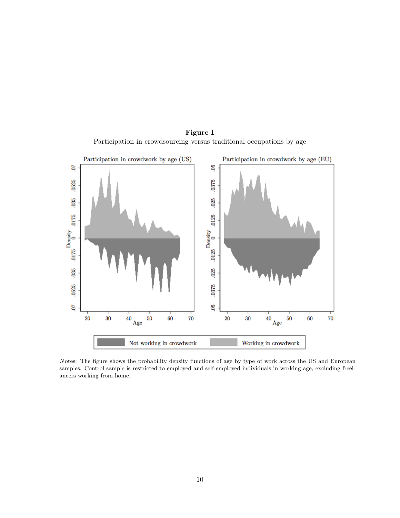

Figure I Participation in crowdsourcing versus traditional occupations by age

N otes: The figure shows the probability density functions of age by type of work across the US and European samples. Control sample is restricted to employed and self-employed individuals in working age, excluding freelancers working from home.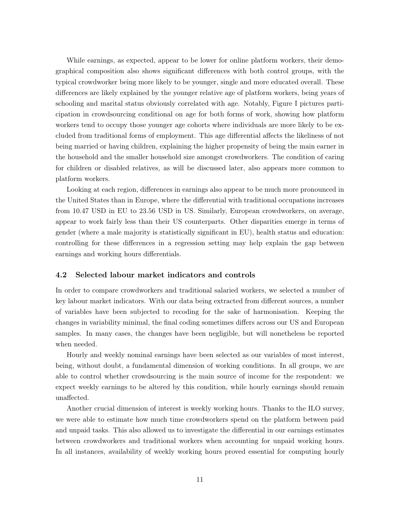While earnings, as expected, appear to be lower for online platform workers, their demographical composition also shows significant differences with both control groups, with the typical crowdworker being more likely to be younger, single and more educated overall. These differences are likely explained by the younger relative age of platform workers, being years of schooling and marital status obviously correlated with age. Notably, Figure I pictures participation in crowdsourcing conditional on age for both forms of work, showing how platform workers tend to occupy those younger age cohorts where individuals are more likely to be excluded from traditional forms of employment. This age differential affects the likeliness of not being married or having children, explaining the higher propensity of being the main earner in the household and the smaller household size amongst crowdworkers. The condition of caring for children or disabled relatives, as will be discussed later, also appears more common to platform workers.

Looking at each region, differences in earnings also appear to be much more pronounced in the United States than in Europe, where the differential with traditional occupations increases from 10.47 USD in EU to 23.56 USD in US. Similarly, European crowdworkers, on average, appear to work fairly less than their US counterparts. Other disparities emerge in terms of gender (where a male majority is statistically significant in EU), health status and education: controlling for these differences in a regression setting may help explain the gap between earnings and working hours differentials.

#### 4.2 Selected labour market indicators and controls

In order to compare crowdworkers and traditional salaried workers, we selected a number of key labour market indicators. With our data being extracted from different sources, a number of variables have been subjected to recoding for the sake of harmonisation. Keeping the changes in variability minimal, the final coding sometimes differs across our US and European samples. In many cases, the changes have been negligible, but will nonetheless be reported when needed.

Hourly and weekly nominal earnings have been selected as our variables of most interest, being, without doubt, a fundamental dimension of working conditions. In all groups, we are able to control whether crowdsourcing is the main source of income for the respondent: we expect weekly earnings to be altered by this condition, while hourly earnings should remain unaffected.

Another crucial dimension of interest is weekly working hours. Thanks to the ILO survey, we were able to estimate how much time crowdworkers spend on the platform between paid and unpaid tasks. This also allowed us to investigate the differential in our earnings estimates between crowdworkers and traditional workers when accounting for unpaid working hours. In all instances, availability of weekly working hours proved essential for computing hourly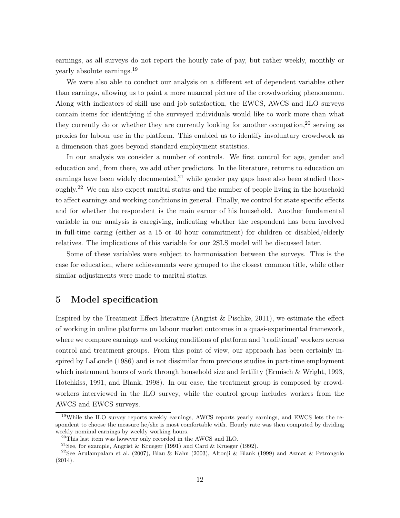earnings, as all surveys do not report the hourly rate of pay, but rather weekly, monthly or yearly absolute earnings.<sup>19</sup>

We were also able to conduct our analysis on a different set of dependent variables other than earnings, allowing us to paint a more nuanced picture of the crowdworking phenomenon. Along with indicators of skill use and job satisfaction, the EWCS, AWCS and ILO surveys contain items for identifying if the surveyed individuals would like to work more than what they currently do or whether they are currently looking for another occupation,  $20$  serving as proxies for labour use in the platform. This enabled us to identify involuntary crowdwork as a dimension that goes beyond standard employment statistics.

In our analysis we consider a number of controls. We first control for age, gender and education and, from there, we add other predictors. In the literature, returns to education on earnings have been widely documented,<sup>21</sup> while gender pay gaps have also been studied thoroughly.<sup>22</sup> We can also expect marital status and the number of people living in the household to affect earnings and working conditions in general. Finally, we control for state specific effects and for whether the respondent is the main earner of his household. Another fundamental variable in our analysis is caregiving, indicating whether the respondent has been involved in full-time caring (either as a 15 or 40 hour commitment) for children or disabled/elderly relatives. The implications of this variable for our 2SLS model will be discussed later.

Some of these variables were subject to harmonisation between the surveys. This is the case for education, where achievements were grouped to the closest common title, while other similar adjustments were made to marital status.

### 5 Model specification

Inspired by the Treatment Effect literature (Angrist  $\&$  Pischke, 2011), we estimate the effect of working in online platforms on labour market outcomes in a quasi-experimental framework, where we compare earnings and working conditions of platform and 'traditional' workers across control and treatment groups. From this point of view, our approach has been certainly inspired by LaLonde (1986) and is not dissimilar from previous studies in part-time employment which instrument hours of work through household size and fertility (Ermisch & Wright, 1993, Hotchkiss, 1991, and Blank, 1998). In our case, the treatment group is composed by crowdworkers interviewed in the ILO survey, while the control group includes workers from the AWCS and EWCS surveys.

<sup>19</sup>While the ILO survey reports weekly earnings, AWCS reports yearly earnings, and EWCS lets the respondent to choose the measure he/she is most comfortable with. Hourly rate was then computed by dividing weekly nominal earnings by weekly working hours.

<sup>20</sup>This last item was however only recorded in the AWCS and ILO.

<sup>&</sup>lt;sup>21</sup>See, for example, Angrist & Krueger (1991) and Card & Krueger (1992).

<sup>22</sup>See Arulampalam et al. (2007), Blau & Kahn (2003), Altonji & Blank (1999) and Azmat & Petrongolo (2014).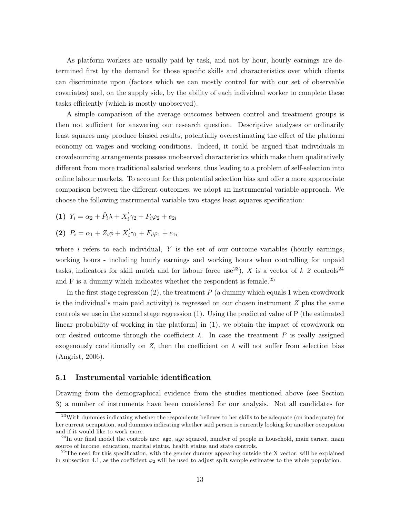As platform workers are usually paid by task, and not by hour, hourly earnings are determined first by the demand for those specific skills and characteristics over which clients can discriminate upon (factors which we can mostly control for with our set of observable covariates) and, on the supply side, by the ability of each individual worker to complete these tasks efficiently (which is mostly unobserved).

A simple comparison of the average outcomes between control and treatment groups is then not sufficient for answering our research question. Descriptive analyses or ordinarily least squares may produce biased results, potentially overestimating the effect of the platform economy on wages and working conditions. Indeed, it could be argued that individuals in crowdsourcing arrangements possess unobserved characteristics which make them qualitatively different from more traditional salaried workers, thus leading to a problem of self-selection into online labour markets. To account for this potential selection bias and offer a more appropriate comparison between the different outcomes, we adopt an instrumental variable approach. We choose the following instrumental variable two stages least squares specification:

(1)  $Y_i = \alpha_2 + \hat{P}_i \lambda + X'_i$  $i\gamma_2 + F_i \varphi_2 + e_{2i}$ 

(2) 
$$
P_i = \alpha_1 + Z_i \phi + X'_i \gamma_1 + F_i \varphi_1 + e_{1i}
$$

where  $i$  refers to each individual,  $Y$  is the set of our outcome variables (hourly earnings, working hours - including hourly earnings and working hours when controlling for unpaid tasks, indicators for skill match and for labour force use<sup>23</sup>), X is a vector of  $k-2$  controls<sup>24</sup> and  $F$  is a dummy which indicates whether the respondent is female.<sup>25</sup>

In the first stage regression  $(2)$ , the treatment P (a dummy which equals 1 when crowdwork is the individual's main paid activity) is regressed on our chosen instrument  $Z$  plus the same controls we use in the second stage regression (1). Using the predicted value of P (the estimated linear probability of working in the platform) in (1), we obtain the impact of crowdwork on our desired outcome through the coefficient  $\lambda$ . In case the treatment P is really assigned exogenously conditionally on Z, then the coefficient on  $\lambda$  will not suffer from selection bias (Angrist, 2006).

#### 5.1 Instrumental variable identification

Drawing from the demographical evidence from the studies mentioned above (see Section 3) a number of instruments have been considered for our analysis. Not all candidates for

<sup>&</sup>lt;sup>23</sup>With dummies indicating whether the respondents believes to her skills to be adequate (on inadequate) for her current occupation, and dummies indicating whether said person is currently looking for another occupation and if it would like to work more.

 $24$ In our final model the controls are: age, age squared, number of people in household, main earner, main source of income, education, marital status, health status and state controls.

 $25$ The need for this specification, with the gender dummy appearing outside the X vector, will be explained in subsection 4.1, as the coefficient  $\varphi_2$  will be used to adjust split sample estimates to the whole population.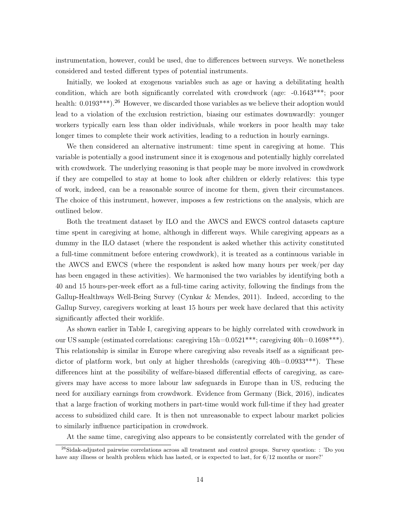instrumentation, however, could be used, due to differences between surveys. We nonetheless considered and tested different types of potential instruments.

Initially, we looked at exogenous variables such as age or having a debilitating health condition, which are both significantly correlated with crowdwork (age:  $-0.1643***$ ; poor health:  $0.0193***$ ).<sup>26</sup> However, we discarded those variables as we believe their adoption would lead to a violation of the exclusion restriction, biasing our estimates downwardly: younger workers typically earn less than older individuals, while workers in poor health may take longer times to complete their work activities, leading to a reduction in hourly earnings.

We then considered an alternative instrument: time spent in caregiving at home. This variable is potentially a good instrument since it is exogenous and potentially highly correlated with crowdwork. The underlying reasoning is that people may be more involved in crowdwork if they are compelled to stay at home to look after children or elderly relatives: this type of work, indeed, can be a reasonable source of income for them, given their circumstances. The choice of this instrument, however, imposes a few restrictions on the analysis, which are outlined below.

Both the treatment dataset by ILO and the AWCS and EWCS control datasets capture time spent in caregiving at home, although in different ways. While caregiving appears as a dummy in the ILO dataset (where the respondent is asked whether this activity constituted a full-time commitment before entering crowdwork), it is treated as a continuous variable in the AWCS and EWCS (where the respondent is asked how many hours per week/per day has been engaged in these activities). We harmonised the two variables by identifying both a 40 and 15 hours-per-week effort as a full-time caring activity, following the findings from the Gallup-Healthways Well-Being Survey (Cynkar & Mendes, 2011). Indeed, according to the Gallup Survey, caregivers working at least 15 hours per week have declared that this activity significantly affected their worklife.

As shown earlier in Table I, caregiving appears to be highly correlated with crowdwork in our US sample (estimated correlations: caregiving 15h=0.0521\*\*\*; caregiving 40h=0.1698\*\*\*). This relationship is similar in Europe where caregiving also reveals itself as a significant predictor of platform work, but only at higher thresholds (caregiving  $40h=0.0933***$ ). These differences hint at the possibility of welfare-biased differential effects of caregiving, as caregivers may have access to more labour law safeguards in Europe than in US, reducing the need for auxiliary earnings from crowdwork. Evidence from Germany (Bick, 2016), indicates that a large fraction of working mothers in part-time would work full-time if they had greater access to subsidized child care. It is then not unreasonable to expect labour market policies to similarly influence participation in crowdwork.

At the same time, caregiving also appears to be consistently correlated with the gender of

 $^{26}$ Sidak-adjusted pairwise correlations across all treatment and control groups. Survey question: : 'Do you have any illness or health problem which has lasted, or is expected to last, for  $6/12$  months or more?'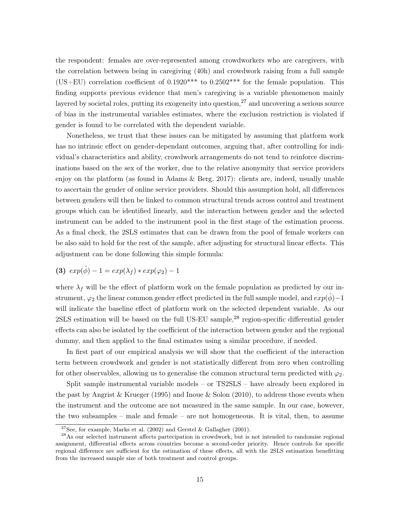the respondent: females are over-represented among crowdworkers who are caregivers, with the correlation between being in caregiving (40h) and crowdwork raising from a full sample (US+EU) correlation coefficient of  $0.1920***$  to  $0.2502***$  for the female population. This finding supports previous evidence that men's caregiving is a variable phenomenon mainly layered by societal roles, putting its exogeneity into question,  $27$  and uncovering a serious source of bias in the instrumental variables estimates, where the exclusion restriction is violated if gender is found to be correlated with the dependent variable.

Nonetheless, we trust that these issues can be mitigated by assuming that platform work has no intrinsic effect on gender-dependant outcomes, arguing that, after controlling for individual's characteristics and ability, crowdwork arrangements do not tend to reinforce discriminations based on the sex of the worker, due to the relative anonymity that service providers enjoy on the platform (as found in Adams & Berg, 2017): clients are, indeed, usually unable to ascertain the gender of online service providers. Should this assumption hold, all differences between genders will then be linked to common structural trends across control and treatment groups which can be identified linearly, and the interaction between gender and the selected instrument can be added to the instrument pool in the first stage of the estimation process. As a final check, the 2SLS estimates that can be drawn from the pool of female workers can be also said to hold for the rest of the sample, after adjusting for structural linear effects. This adjustment can be done following this simple formula:

$$
(3) \ \exp(\hat{\phi}) - 1 = \exp(\lambda_f) * \exp(\varphi_2) - 1
$$

where  $\lambda_f$  will be the effect of platform work on the female population as predicted by our instrument,  $\varphi_2$  the linear common gender effect predicted in the full sample model, and  $exp(\hat{\phi})-1$ will indicate the baseline effect of platform work on the selected dependent variable. As our 2SLS estimation will be based on the full US-EU sample,<sup>28</sup> region-specific differential gender effects can also be isolated by the coefficient of the interaction between gender and the regional dummy, and then applied to the final estimates using a similar procedure, if needed.

In first part of our empirical analysis we will show that the coefficient of the interaction term between crowdwork and gender is not statistically different from zero when controlling for other observables, allowing us to generalise the common structural term predicted with  $\varphi_2$ .

Split sample instrumental variable models – or TS2SLS – have already been explored in the past by Angrist & Krueger (1995) and Inoue & Solon (2010), to address those events when the instrument and the outcome are not measured in the same sample. In our case, however, the two subsamples – male and female – are not homogeneous. It is vital, then, to assume

<sup>&</sup>lt;sup>27</sup>See, for example, Marks et al. (2002) and Gerstel & Gallagher (2001).

<sup>&</sup>lt;sup>28</sup>As our selected instrument affects partecipation in crowdwork, but is not intended to randomise regional assignment, differential effects across countries become a second-order priority. Hence controls for specific regional difference are sufficient for the estimation of these effects, all with the 2SLS estimation benefitting from the increased sample size of both treatment and control groups.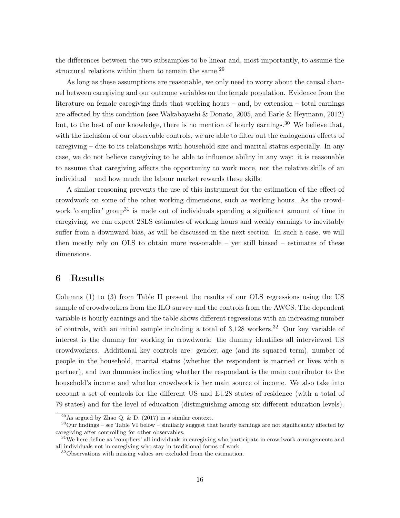the differences between the two subsamples to be linear and, most importantly, to assume the structural relations within them to remain the same.<sup>29</sup>

As long as these assumptions are reasonable, we only need to worry about the causal channel between caregiving and our outcome variables on the female population. Evidence from the literature on female caregiving finds that working hours – and, by extension – total earnings are affected by this condition (see Wakabayashi & Donato, 2005, and Earle & Heymann, 2012) but, to the best of our knowledge, there is no mention of hourly earnings.<sup>30</sup> We believe that, with the inclusion of our observable controls, we are able to filter out the endogenous effects of caregiving  $-$  due to its relationships with household size and marital status especially. In any case, we do not believe caregiving to be able to influence ability in any way: it is reasonable to assume that caregiving affects the opportunity to work more, not the relative skills of an individual – and how much the labour market rewards these skills.

A similar reasoning prevents the use of this instrument for the estimation of the effect of crowdwork on some of the other working dimensions, such as working hours. As the crowdwork 'complier' group<sup>31</sup> is made out of individuals spending a significant amount of time in caregiving, we can expect 2SLS estimates of working hours and weekly earnings to inevitably suffer from a downward bias, as will be discussed in the next section. In such a case, we will then mostly rely on OLS to obtain more reasonable – yet still biased – estimates of these dimensions.

### 6 Results

Columns (1) to (3) from Table II present the results of our OLS regressions using the US sample of crowdworkers from the ILO survey and the controls from the AWCS. The dependent variable is hourly earnings and the table shows different regressions with an increasing number of controls, with an initial sample including a total of  $3,128$  workers.<sup>32</sup> Our key variable of interest is the dummy for working in crowdwork: the dummy identifies all interviewed US crowdworkers. Additional key controls are: gender, age (and its squared term), number of people in the household, marital status (whether the respondent is married or lives with a partner), and two dummies indicating whether the respondant is the main contributor to the household's income and whether crowdwork is her main source of income. We also take into account a set of controls for the different US and EU28 states of residence (with a total of 79 states) and for the level of education (distinguishing among six different education levels).

<sup>&</sup>lt;sup>29</sup>As argued by Zhao Q. & D. (2017) in a similar context.

<sup>30</sup>Our findings – see Table VI below – similarly suggest that hourly earnings are not significantly affected by caregiving after controlling for other observables.

 $31$ We here define as 'compliers' all individuals in caregiving who participate in crowdwork arrangements and all individuals not in caregiving who stay in traditional forms of work.

<sup>&</sup>lt;sup>32</sup>Observations with missing values are excluded from the estimation.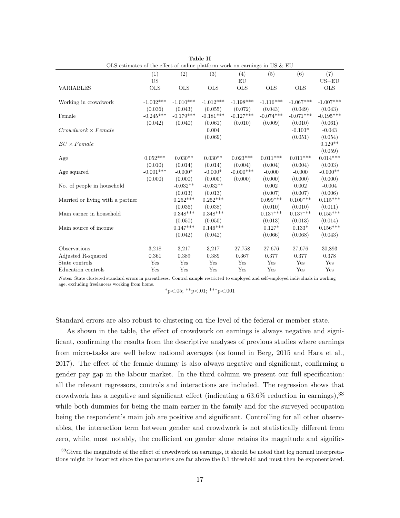|                                  | OLS estimates of the effect of online platform work on earnings in US $&$ EU |             |                  |              |             |             |                        |
|----------------------------------|------------------------------------------------------------------------------|-------------|------------------|--------------|-------------|-------------|------------------------|
|                                  | (1)                                                                          | (2)         | $\overline{(3)}$ | (4)          | (5)         | (6)         | (7)                    |
|                                  | <b>US</b>                                                                    |             |                  | EU           |             |             | $US + EU$              |
| <b>VARIABLES</b>                 | <b>OLS</b>                                                                   | <b>OLS</b>  | <b>OLS</b>       | <b>OLS</b>   | <b>OLS</b>  | <b>OLS</b>  | <b>OLS</b>             |
|                                  |                                                                              |             |                  |              |             |             |                        |
| Working in crowdwork             | $-1.032***$                                                                  | $-1.010***$ | $-1.012***$      | $-1.198***$  | $-1.116***$ | $-1.067***$ | $-1.007***$            |
|                                  | (0.036)                                                                      | (0.043)     | (0.055)          | (0.072)      | (0.043)     | (0.049)     | (0.043)                |
| Female                           | $-0.245***$                                                                  | $-0.179***$ | $-0.181***$      | $-0.127***$  | $-0.074***$ | $-0.071***$ | $-0.195***$            |
|                                  | (0.042)                                                                      | (0.040)     | (0.061)          | (0.010)      | (0.009)     | (0.010)     | (0.061)                |
| $Crowdwork \times Female$        |                                                                              |             | 0.004            |              |             | $-0.103*$   | $-0.043$               |
|                                  |                                                                              |             | (0.069)          |              |             | (0.051)     | (0.054)                |
| $EU \times Female$               |                                                                              |             |                  |              |             |             | $0.129**$              |
|                                  |                                                                              |             |                  |              |             |             | (0.059)                |
| Age                              | $0.052***$                                                                   | $0.030**$   | $0.030**$        | $0.023***$   | $0.011***$  | $0.011***$  | $0.014^{***}\;$        |
|                                  | (0.010)                                                                      | (0.014)     | (0.014)          | (0.004)      | (0.004)     | (0.004)     | (0.003)                |
| Age squared                      | $-0.001***$                                                                  | $-0.000*$   | $-0.000*$        | $-0.000$ *** | $-0.000$    | $-0.000$    | $-0.000**$             |
|                                  | (0.000)                                                                      | (0.000)     | (0.000)          | (0.000)      | (0.000)     | (0.000)     | (0.000)                |
| No. of people in household       |                                                                              | $-0.032**$  | $-0.032**$       |              | 0.002       | 0.002       | $-0.004$               |
|                                  |                                                                              | (0.013)     | (0.013)          |              | (0.007)     | (0.007)     | (0.006)                |
| Married or living with a partner |                                                                              | $0.252***$  | $0.252***$       |              | $0.099***$  | $0.100***$  | $0.115***$             |
|                                  |                                                                              | (0.036)     | (0.038)          |              | (0.010)     | (0.010)     | (0.011)                |
| Main earner in household         |                                                                              | $0.348***$  | $0.348***$       |              | $0.137***$  | $0.137***$  | $0.155***$             |
|                                  |                                                                              | (0.050)     | (0.050)          |              | (0.013)     | (0.013)     | (0.014)                |
| Main source of income            |                                                                              | $0.147***$  | $0.146***$       |              | $0.127*$    | $0.133*$    | $0.156^{\ast\ast\ast}$ |
|                                  |                                                                              | (0.042)     | (0.042)          |              | (0.066)     | (0.068)     | (0.043)                |
|                                  |                                                                              |             |                  |              |             |             |                        |
| Observations                     | 3,218                                                                        | 3,217       | 3,217            | 27,758       | 27,676      | 27,676      | 30,893                 |
| Adjusted R-squared               | 0.361                                                                        | 0.389       | 0.389            | 0.367        | 0.377       | 0.377       | 0.378                  |
| State controls                   | Yes                                                                          | Yes         | Yes              | Yes          | Yes         | Yes         | Yes                    |
| Education controls               | Yes                                                                          | Yes         | Yes              | Yes          | Yes         | Yes         | Yes                    |

|                                                                         | Table II |  |  |
|-------------------------------------------------------------------------|----------|--|--|
| OLS estimates of the effect of online platform work on earnings in US & |          |  |  |

N otes: State clustered standard errors in parentheses. Control sample restricted to employed and self-employed individuals in working age, excluding freelancers working from home.

 $*_{p<.05;}$   $*_{p<.01;}$   $*_{*p<.001}$ 

Standard errors are also robust to clustering on the level of the federal or member state.

As shown in the table, the effect of crowdwork on earnings is always negative and significant, confirming the results from the descriptive analyses of previous studies where earnings from micro-tasks are well below national averages (as found in Berg, 2015 and Hara et al., 2017). The effect of the female dummy is also always negative and significant, confirming a gender pay gap in the labour market. In the third column we present our full specification: all the relevant regressors, controls and interactions are included. The regression shows that crowdwork has a negative and significant effect (indicating a  $63.6\%$  reduction in earnings),  $33$ while both dummies for being the main earner in the family and for the surveyed occupation being the respondent's main job are positive and significant. Controlling for all other observables, the interaction term between gender and crowdwork is not statistically different from zero, while, most notably, the coefficient on gender alone retains its magnitude and signific-

<sup>&</sup>lt;sup>33</sup>Given the magnitude of the effect of crowdwork on earnings, it should be noted that log normal interpretations might be incorrect since the parameters are far above the 0.1 threshold and must then be exponentiated.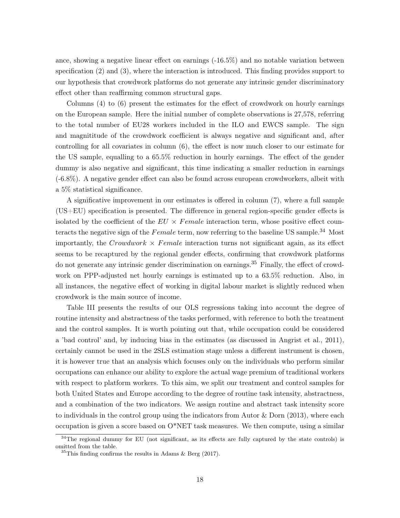ance, showing a negative linear effect on earnings (-16.5%) and no notable variation between specification (2) and (3), where the interaction is introduced. This finding provides support to our hypothesis that crowdwork platforms do not generate any intrinsic gender discriminatory effect other than reaffirming common structural gaps.

Columns (4) to (6) present the estimates for the effect of crowdwork on hourly earnings on the European sample. Here the initial number of complete observations is 27,578, referring to the total number of EU28 workers included in the ILO and EWCS sample. The sign and magnititude of the crowdwork coefficient is always negative and significant and, after controlling for all covariates in column (6), the effect is now much closer to our estimate for the US sample, equalling to a 65.5% reduction in hourly earnings. The effect of the gender dummy is also negative and significant, this time indicating a smaller reduction in earnings (-6.8%). A negative gender effect can also be found across european crowdworkers, albeit with a 5% statistical significance.

A significative improvement in our estimates is offered in column (7), where a full sample (US+EU) specification is presented. The difference in general region-specific gender effects is isolated by the coefficient of the  $EU \times Female$  interaction term, whose positive effect counteracts the negative sign of the  $Female$  term, now referring to the baseline US sample.<sup>34</sup> Most importantly, the Crowdwork  $\times$  Female interaction turns not significant again, as its effect seems to be recaptured by the regional gender effects, confirming that crowdwork platforms do not generate any intrinsic gender discrimination on earnings.<sup>35</sup> Finally, the effect of crowdwork on PPP-adjusted net hourly earnings is estimated up to a 63.5% reduction. Also, in all instances, the negative effect of working in digital labour market is slightly reduced when crowdwork is the main source of income.

Table III presents the results of our OLS regressions taking into account the degree of routine intensity and abstractness of the tasks performed, with reference to both the treatment and the control samples. It is worth pointing out that, while occupation could be considered a 'bad control' and, by inducing bias in the estimates (as discussed in Angrist et al., 2011), certainly cannot be used in the 2SLS estimation stage unless a different instrument is chosen, it is however true that an analysis which focuses only on the individuals who perform similar occupations can enhance our ability to explore the actual wage premium of traditional workers with respect to platform workers. To this aim, we split our treatment and control samples for both United States and Europe according to the degree of routine task intensity, abstractness, and a combination of the two indicators. We assign routine and abstract task intensity score to individuals in the control group using the indicators from Autor & Dorn (2013), where each occupation is given a score based on  $O^*NET$  task measures. We then compute, using a similar

 $34$ The regional dummy for EU (not significant, as its effects are fully captured by the state controls) is omitted from the table.

 $35$ This finding confirms the results in Adams & Berg (2017).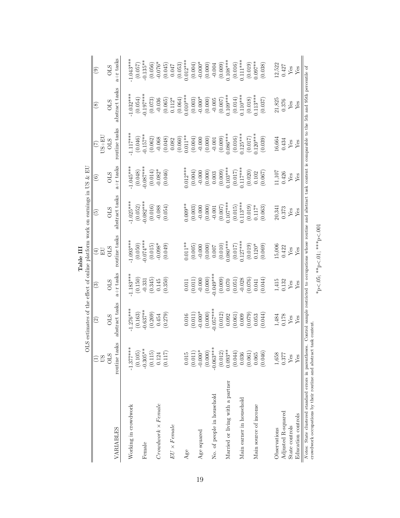|                                                                                                                                                                                                                                                              |               |                                                                            |             | Table III                                                   |                          |                         |                         |                       |                       |
|--------------------------------------------------------------------------------------------------------------------------------------------------------------------------------------------------------------------------------------------------------------|---------------|----------------------------------------------------------------------------|-------------|-------------------------------------------------------------|--------------------------|-------------------------|-------------------------|-----------------------|-----------------------|
|                                                                                                                                                                                                                                                              |               | OLS estimates of the effect of online platform work on earnings in US & EU |             |                                                             |                          |                         |                         |                       |                       |
|                                                                                                                                                                                                                                                              | <b>US</b>     | $\odot$                                                                    | ව           | $\bigoplus$<br>日                                            | $\widetilde{\mathbb{P}}$ | $\widehat{\circ}$       | $US + EU$<br>$(\zeta)$  | $\circledast$         | $\circledcirc$        |
|                                                                                                                                                                                                                                                              | <b>OLS</b>    | <b>CLIO</b>                                                                | <b>STO</b>  | <b>CLS</b>                                                  | <b>CLIO</b>              | <b>STO</b>              | <b>OLS</b>              | <b>OLS</b>            | <b>OLS</b>            |
| VARIABLES                                                                                                                                                                                                                                                    | routine tasks | abstract tasks                                                             | $a+r$ tasks | routine tasks                                               | abstract tasks           | $a+r$ tasks             | routine tasks           | abstract tasks        | $a+r$ tasks           |
| Working in crowdwork                                                                                                                                                                                                                                         | $-1.377***$   | $-1.276***$                                                                | $1.183***$  | $1.093***$                                                  | $1.025***$               | $1.045***$              | $1.117***$              | $1.032***$            | $1.043***$            |
|                                                                                                                                                                                                                                                              | (0.105)       | (0.163)                                                                    | (0.150)     | (0.050)                                                     | (0.052)                  |                         | (0.046)                 | (0.054)               | (0.057)               |
| Female                                                                                                                                                                                                                                                       | $-0.305**$    | $-0.637**$                                                                 | $-0.331$    | $-0.074***$                                                 | $0.082***$               | $(0.048)$<br>0.087***   | $0.157***$              | $0.197***$            | $-0.135**$            |
|                                                                                                                                                                                                                                                              | (0.115)       | (0.269)                                                                    | (0.345)     | $(0.015)$<br>-0.098*                                        | (0.016)                  |                         | (0.062)                 | (0.073)               | $(0.056)$<br>-0.076*  |
| $Crowdwork \times Female$                                                                                                                                                                                                                                    | 0.124         | 0.454                                                                      | 0.145       |                                                             | $-0.088$                 | $(0.014)$<br>-0.082*    | $-0.068$                | $-0.036$              |                       |
|                                                                                                                                                                                                                                                              | (0.117)       | (0.279)                                                                    | (0.350)     | (0.049)                                                     | (0.054)                  | (0.046)                 | (0.048)                 | $(0.065)$<br>$0.112*$ | (0.045)               |
| $EU \times Female$                                                                                                                                                                                                                                           |               |                                                                            |             |                                                             |                          |                         | 0.082                   |                       | 0.047                 |
|                                                                                                                                                                                                                                                              |               |                                                                            |             |                                                             |                          |                         |                         |                       | (0.053)               |
| Age                                                                                                                                                                                                                                                          | $0.015\,$     | 0.016                                                                      |             | $0.011***$                                                  | $0.009**$                | $0.012***$              | $(0.060)$<br>$0.011***$ | $(0.064)$<br>0.010*** | $0.012***$            |
|                                                                                                                                                                                                                                                              | (0.011)       | (0.011)                                                                    | (0.011)     | (0.005)                                                     | (0.003)                  | (0.004)                 | (0.004)                 |                       |                       |
| Age squared                                                                                                                                                                                                                                                  | $-0.000*$     | $-0.000*$                                                                  | $-0.000$    | $-0.000$                                                    | $-0.000$                 | $-0.000$                | $-0.000$                | $(0.003)$<br>-0.000*  | $(0.004)$<br>-0.000*  |
|                                                                                                                                                                                                                                                              | (0.000)       | (0.000)                                                                    | (0.000)     | (0.000)                                                     | (0.000)                  | (0.000)                 | (0.000)                 | (0.000)               | (0.000)               |
| No. of people in household                                                                                                                                                                                                                                   | $-0.063***$   | $-0.057***$                                                                | $0.049***$  |                                                             | $-0.001$                 | 0.003                   | $-0.001$                | $-0.005$              | $-0.004$              |
|                                                                                                                                                                                                                                                              | (0.012)       | (0.012)                                                                    | (0.009)     | $\begin{array}{c} 0.007 \\ (0.010) \\ 0.080*** \end{array}$ | (0.007)                  | $(0.009)$<br>$0.103***$ | (0.009)                 |                       | $(0.009)$<br>0.108*** |
| Married or living with a partner                                                                                                                                                                                                                             | $0.093**$     | 0.092                                                                      | 0.070       |                                                             | $0.107***$               |                         | $0.086***$              | $(0.007)$<br>0.109*** |                       |
|                                                                                                                                                                                                                                                              | (0.044)       | (0.061)                                                                    | (0.051)     | $(0.017)$                                                   | (0.015)                  | (0.017)                 | (0.016)                 | (0.014)               | (0.016)               |
| Main earner in household                                                                                                                                                                                                                                     | 0.036         | 0.009                                                                      | $-0.028$    | $0.127***$                                                  | $0.113***$               | $0.117***$              | $0.125***$              | $0.110***$            | $0.111***$            |
|                                                                                                                                                                                                                                                              | (0.061)       | (0.079)                                                                    | (0.076)     | (0.019)                                                     | (0.019)                  | (0.020)                 | (0.017)                 | (0.018)               | (0.019)               |
| Main source of income                                                                                                                                                                                                                                        | 0.065         | 0.053                                                                      | 0.041       | $0.120*$                                                    | $0.117*$                 | 0.102                   | $0.120***$              | $0.113***$            | $0.097**$             |
|                                                                                                                                                                                                                                                              | (0.046)       | (0.044)                                                                    | (0.044)     | (0.069)                                                     | (0.063)                  | (0.067)                 | (0.039)                 | (0.037)               | (0.038)               |
| Observations                                                                                                                                                                                                                                                 | 1,658         | 1,484<br>0.178                                                             | $1,\!415$   | 15,006                                                      | 20,341                   | 11,107                  | 16,664                  | 21,825                | 12,522                |
| Adjusted R-squared                                                                                                                                                                                                                                           | 0.377         |                                                                            | 0.132       | 0.422                                                       | 0.373                    | 0.426                   | 0.434                   | 0.376                 | $0.427$               |
| State controls                                                                                                                                                                                                                                               | Yes           | ${\rm Yes}$                                                                | Yes         | ${\rm Yes}$                                                 | ${\it Yes}$              | ${\it Yes}$             | Yes                     | ${\it Yes}$           | Yes                   |
| Education controls                                                                                                                                                                                                                                           | Yes           | Yes                                                                        | $Y$ es      | Yes                                                         | Yes                      | Yes                     | Yes                     | $Y$ es                | Yes                   |
| Notes: State clustered standard errors in parentheses. Control sample restricted to occupations whose routine and abstract task content is comparable to the 5th and 95th percentile of<br>crowdwork occupations by their routine and abstract task content. |               |                                                                            |             |                                                             |                          |                         |                         |                       |                       |

| S<br>è<br>→<br>∗∗∗      |  |
|-------------------------|--|
| ۳<br>í<br>$\frac{*}{*}$ |  |
| č                       |  |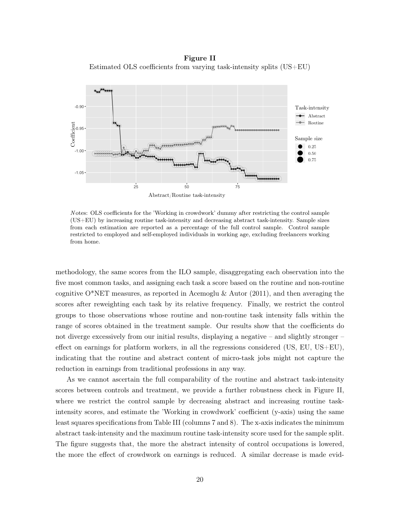Figure II Estimated OLS coefficients from varying task-intensity splits (US+EU)



N otes: OLS coefficients for the 'Working in crowdwork' dummy after restricting the control sample (US+EU) by increasing routine task-intensity and decreasing abstract task-intensity. Sample sizes from each estimation are reported as a percentage of the full control sample. Control sample restricted to employed and self-employed individuals in working age, excluding freelancers working from home.

methodology, the same scores from the ILO sample, disaggregating each observation into the five most common tasks, and assigning each task a score based on the routine and non-routine cognitive O\*NET measures, as reported in Acemoglu & Autor (2011), and then averaging the scores after reweighting each task by its relative frequency. Finally, we restrict the control groups to those observations whose routine and non-routine task intensity falls within the range of scores obtained in the treatment sample. Our results show that the coefficients do not diverge excessively from our initial results, displaying a negative – and slightly stronger – effect on earnings for platform workers, in all the regressions considered  $(US, EU, US+EU)$ , indicating that the routine and abstract content of micro-task jobs might not capture the reduction in earnings from traditional professions in any way.

As we cannot ascertain the full comparability of the routine and abstract task-intensity scores between controls and treatment, we provide a further robustness check in Figure II, where we restrict the control sample by decreasing abstract and increasing routine taskintensity scores, and estimate the 'Working in crowdwork' coefficient (y-axis) using the same least squares specifications from Table III (columns 7 and 8). The x-axis indicates the minimum abstract task-intensity and the maximum routine task-intensity score used for the sample split. The figure suggests that, the more the abstract intensity of control occupations is lowered, the more the effect of crowdwork on earnings is reduced. A similar decrease is made evid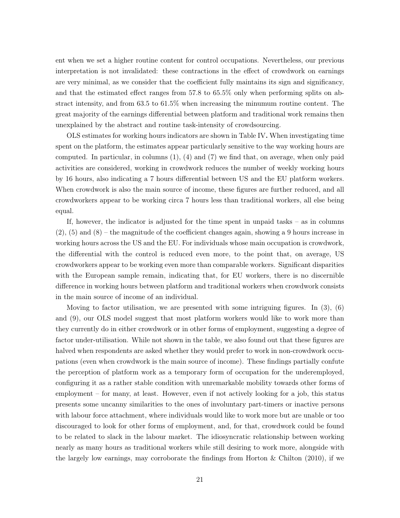ent when we set a higher routine content for control occupations. Nevertheless, our previous interpretation is not invalidated: these contractions in the effect of crowdwork on earnings are very minimal, as we consider that the coefficient fully maintains its sign and significancy, and that the estimated effect ranges from 57.8 to 65.5% only when performing splits on abstract intensity, and from 63.5 to 61.5% when increasing the minumum routine content. The great majority of the earnings differential between platform and traditional work remains then unexplained by the abstract and routine task-intensity of crowdsourcing.

OLS estimates for working hours indicators are shown in Table IV. When investigating time spent on the platform, the estimates appear particularly sensitive to the way working hours are computed. In particular, in columns  $(1)$ ,  $(4)$  and  $(7)$  we find that, on average, when only paid activities are considered, working in crowdwork reduces the number of weekly working hours by 16 hours, also indicating a 7 hours differential between US and the EU platform workers. When crowdwork is also the main source of income, these figures are further reduced, and all crowdworkers appear to be working circa 7 hours less than traditional workers, all else being equal.

If, however, the indicator is adjusted for the time spent in unpaid tasks – as in columns  $(2)$ ,  $(5)$  and  $(8)$  – the magnitude of the coefficient changes again, showing a 9 hours increase in working hours across the US and the EU. For individuals whose main occupation is crowdwork, the differential with the control is reduced even more, to the point that, on average, US crowdworkers appear to be working even more than comparable workers. Significant disparities with the European sample remain, indicating that, for EU workers, there is no discernible difference in working hours between platform and traditional workers when crowdwork consists in the main source of income of an individual.

Moving to factor utilisation, we are presented with some intriguing figures. In  $(3)$ ,  $(6)$ and (9), our OLS model suggest that most platform workers would like to work more than they currently do in either crowdwork or in other forms of employment, suggesting a degree of factor under-utilisation. While not shown in the table, we also found out that these figures are halved when respondents are asked whether they would prefer to work in non-crowdwork occupations (even when crowdwork is the main source of income). These findings partially confute the perception of platform work as a temporary form of occupation for the underemployed, configuring it as a rather stable condition with unremarkable mobility towards other forms of employment – for many, at least. However, even if not actively looking for a job, this status presents some uncanny similarities to the ones of involuntary part-timers or inactive persons with labour force attachment, where individuals would like to work more but are unable or too discouraged to look for other forms of employment, and, for that, crowdwork could be found to be related to slack in the labour market. The idiosyncratic relationship between working nearly as many hours as traditional workers while still desiring to work more, alongside with the largely low earnings, may corroborate the findings from Horton  $\&$  Chilton (2010), if we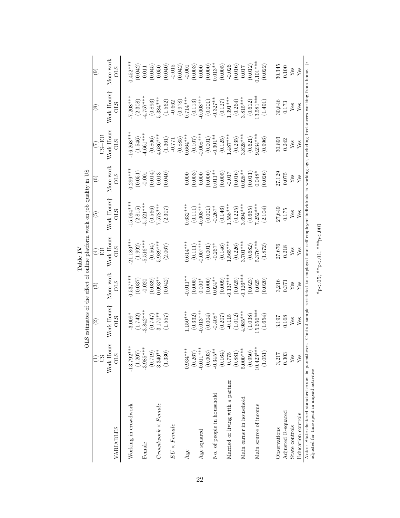|                                                                                                        |                          |                                                                          |                         | Table IV                 |                                                                                                                                 |                        |                          |                           |                                                 |
|--------------------------------------------------------------------------------------------------------|--------------------------|--------------------------------------------------------------------------|-------------------------|--------------------------|---------------------------------------------------------------------------------------------------------------------------------|------------------------|--------------------------|---------------------------|-------------------------------------------------|
|                                                                                                        |                          | OLS estimates of the effect of online platform work on job quality in US |                         |                          |                                                                                                                                 |                        |                          |                           |                                                 |
|                                                                                                        | CD                       | $\widehat{\mathfrak{D}}$                                                 | ව                       | 口口<br>$\bigoplus$        | စ                                                                                                                               | $\widehat{\mathbf{e}}$ | $US + EU$                | $^{\circledR}$            | $\circledcirc$                                  |
| VARIABLES                                                                                              | Work Hours<br><b>CTO</b> | Work Hours†<br><b>CLS</b>                                                | More work<br><b>CLS</b> | Work Hours<br><b>STO</b> | Work Hours†<br><b>OLS</b>                                                                                                       | More work              | Work Hours<br><b>OLS</b> | Work Hours†<br><b>STO</b> | More work                                       |
| Working in crowdwork                                                                                   | $-13.792***$             | $-3.009*$                                                                | $0.537***$              | $21.180***$              | 15.064***                                                                                                                       | $0.299***$             | $16.268***$              | $7.208***$                | $0.452***$                                      |
|                                                                                                        | (1.207)                  | (1.742)                                                                  | (0.037)                 | (1.992)                  | (2.815)                                                                                                                         | (0.051)                | (1.546)                  | (2.308)                   |                                                 |
| Female                                                                                                 | $-3.985***$              | $-3.842***$                                                              | $-0.020$                | $-5.516***$              | $-5.521***$                                                                                                                     | $-0.001$               | $4.661***$               | $4.757***$                | $(0.042)$<br>0.011                              |
|                                                                                                        | (0.719)                  | (0.747)                                                                  | (0.039)                 | (0.564)                  | (0.566)                                                                                                                         | (0.014)                | (0.806)                  | (0.893)                   | (0.045)                                         |
| $Crowdwork \times Female$                                                                              | $3.340**$                | $3.170**$                                                                | $0.093**$               | $5.989***$               | 7.578***                                                                                                                        | 0.013                  | $4.686***$               | $5.384***$                | 0.050                                           |
|                                                                                                        | (1.330)                  | (1.557)                                                                  | (0.042)                 | (2.067)                  | (2.307)                                                                                                                         | (0.040)                | (1.361)                  | (1.562)                   | (0.040)                                         |
| $EU \times Female$                                                                                     |                          |                                                                          |                         |                          |                                                                                                                                 |                        | $-0.771$                 | $-0.662$                  | $-0.015$                                        |
|                                                                                                        |                          |                                                                          |                         |                          |                                                                                                                                 |                        | (0.885)                  | $(826)$ (826'0)           | (0.042)                                         |
| Age                                                                                                    | $0.934***$               | $1.150***$                                                               | $0.011**$               | $0.614***$               | $0.632***$                                                                                                                      | 0.000                  | $0.664***$               |                           | $-0.001$                                        |
|                                                                                                        | (0.267)                  | (0.332)                                                                  | (0.005)                 | (0.111)                  | (0.111)                                                                                                                         | (0.003)                | (0.107)                  | (0.113)                   | $\begin{array}{c} (0.003) \\ 0.000 \end{array}$ |
| Age squared                                                                                            | $-0.011***$              | $-0.013***$                                                              | $0.000*$                | $0.007***$               | $0.008***$                                                                                                                      | 0.000                  | $0.008***$               | $-0.008***$               |                                                 |
|                                                                                                        | (0.003)                  | (0.004)                                                                  | (0.000)                 | (0.001)                  | (0.001)                                                                                                                         | (0.000)                | (0.001)                  | (0.001)                   | (0.000)                                         |
| No. of people in household                                                                             | $-0.345**$               | $-0.408*$                                                                | $0.024***$              | $-0.267*$                | $-0.267*$                                                                                                                       | $0.011**$              | $-0.301**$               | $-0.327**$                | $0.013***$                                      |
|                                                                                                        | (0.164)                  | (0.207)                                                                  | (0.009)                 | (0.146)                  | (0.146)                                                                                                                         | (0.005)                | (0.125)                  | (0.127)                   | (0.005)                                         |
| Married or living with a partner                                                                       | 0.775                    | $-0.115$                                                                 | $0.137***$              | $.565***$                | $.558***$                                                                                                                       | $-0.017$               | $487***$                 | $1.391***$                | $-0.026$                                        |
|                                                                                                        | (0.881)                  | (1.012)                                                                  | (0.025)                 | (0.226)                  | (0.225)                                                                                                                         | (0.016)                | (0.235)                  | (0.264)                   | (0.016)                                         |
| Main earner in household                                                                               | $5.000***$               | $4.985***$                                                               | $0.126***$              | $3.701***$               | $3.694***$                                                                                                                      | $0.028**$              | $3.828***$               | $3.815***$                | 0.017                                           |
|                                                                                                        | (0.950)                  | (1.038)                                                                  | (0.023)                 | (0.682)                  | (0.665)                                                                                                                         | (0.011)                | (0.621)                  | (0.612)                   | $(0.012)$<br>0.101***                           |
| Main source of income                                                                                  | $10.423***$              | $5.656***$                                                               | 0.025                   | 5.376***                 | $7.252***$                                                                                                                      | $0.048*$               | $.234***$                | $3.581***$                |                                                 |
|                                                                                                        | (1.051)                  | (1.654)                                                                  | (0.020)                 | (1.872)                  | (2.104)                                                                                                                         | (0.026)                | (0.996)                  | (1.491)                   | (0.022)                                         |
| Observations                                                                                           | 3,217                    | 3,197                                                                    | 3,216                   | 27,676                   | 27,649                                                                                                                          | 27,129                 | 30,893                   | 30,846                    | 30,345                                          |
| Adjusted R-squared                                                                                     | 0.303                    | 0.168                                                                    | 0.371                   | 0.218                    | 0.175                                                                                                                           | 0.075                  | 0.242                    | 0.173                     | 0.100                                           |
| State controls                                                                                         | Yes                      | Yes                                                                      | ${\rm Yes}$             | $\rm Yes$                | Yes                                                                                                                             | Yes                    | ${\rm Yes}$              | ${\rm Yes}$               | ${\rm Yes}$                                     |
| Education controls                                                                                     | Yes                      | Yes                                                                      | Yes                     | Yes                      | Yes                                                                                                                             | Yes                    | Yes                      | Yes                       | Yes                                             |
| Notes: State clustered standard errors in parentheses.<br>adjusted for time spent in unpaid activities |                          |                                                                          |                         |                          | Control sample restricted to employed and self-employed individuals in working age, excluding freelancers working from home. †: |                        |                          |                           |                                                 |

 $*_\mathrm{p}<.05;$   $^{**}\mathrm{p}<.01;$   $^{***}\mathrm{p}<.001$ \*p<.05; \*\*p<.01; \*\*\*p<.001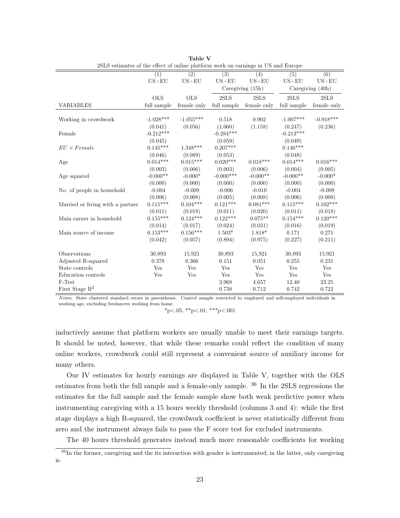| 2SLS estimates of the effect of online platform work on earnings in US and Europe |             |                  |                  |                  |                  |                  |
|-----------------------------------------------------------------------------------|-------------|------------------|------------------|------------------|------------------|------------------|
|                                                                                   | (1)         | $\overline{(2)}$ | $\overline{(3)}$ | $\overline{(4)}$ | $\overline{(5)}$ | (6)              |
|                                                                                   | $US + EU$   | $US + EU$        | $US + EU$        | $US + EU$        | $US + EU$        | $US + EU$        |
|                                                                                   |             |                  |                  | Caregiving (15h) |                  | Caregiving (40h) |
|                                                                                   | <b>OLS</b>  | <b>OLS</b>       | 2SLS             | 2SLS             | 2SLS             | 2SLS             |
| <b>VARIABLES</b>                                                                  | full sample | female only      | full sample      | female only      | full sample      | female only      |
|                                                                                   |             |                  |                  |                  |                  |                  |
| Working in crowdwork                                                              | $-1.028***$ | $-1.055***$      | 0.518            | 0.902            | $-1.007***$      | $-0.918***$      |
|                                                                                   | (0.041)     | (0.056)          | (1.060)          | (1.158)          | (0.247)          | (0.236)          |
| Female                                                                            | $-0.212***$ |                  | $-0.284***$      |                  | $-0.213***$      |                  |
|                                                                                   | (0.045)     |                  | (0.059)          |                  | (0.049)          |                  |
| $EU \times Female$                                                                | $0.145***$  | $1.348***$       | $0.207***$       |                  | $0.146***$       |                  |
|                                                                                   | (0.046)     | (0.089)          | (0.053)          |                  | (0.048)          |                  |
| Age                                                                               | $0.014***$  | $0.015***$       | $0.020***$       | $0.018***$       | $0.014***$       | $0.016***$       |
|                                                                                   | (0.003)     | (0.006)          | (0.003)          | (0.006)          | (0.004)          | (0.005)          |
| Age squared                                                                       | $-0.000**$  | $-0.000*$        | $-0.000$ ***     | $-0.000**$       | $-0.000**$       | $-0.000*$        |
|                                                                                   | (0.000)     | (0.000)          | (0.000)          | (0.000)          | (0.000)          | (0.000)          |
| No. of people in household                                                        | $-0.004$    | $-0.009$         | $-0.006$         | $-0.010$         | $-0.004$         | $-0.009$         |
|                                                                                   | (0.006)     | (0.008)          | (0.005)          | (0.008)          | (0.006)          | (0.008)          |
| Married or living with a partner                                                  | $0.115***$  | $0.104***$       | $0.121***$       | $0.081***$       | $0.115***$       | $0.102***$       |
|                                                                                   | (0.011)     | (0.018)          | (0.011)          | (0.020)          | (0.011)          | (0.018)          |
| Main earner in household                                                          | $0.155***$  | $0.124***$       | $0.122***$       | $0.075**$        | $0.154***$       | $0.120***$       |
|                                                                                   | (0.014)     | (0.017)          | (0.024)          | (0.031)          | (0.016)          | (0.019)          |
| Main source of income                                                             | $0.153***$  | $0.156***$       | $1.503*$         | 1.818*           | 0.171            | 0.271            |
|                                                                                   | (0.042)     | (0.057)          | (0.894)          | (0.975)          | (0.227)          | (0.211)          |
|                                                                                   |             |                  |                  |                  |                  |                  |
| Observations                                                                      | 30,893      | 15,921           | 30,893           | 15,921           | 30,893           | 15,921           |
| Adjusted R-squared                                                                | 0.378       | 0.366            | 0.151            | 0.051            | 0.255            | 0.231            |
| State controls                                                                    | Yes         | Yes              | Yes              | Yes              | Yes              | Yes              |
| Education controls                                                                | Yes         | Yes              | Yes              | Yes              | Yes              | Yes              |
| F-Test                                                                            |             |                  | 3.968            | 4.657            | 12.40            | 23.25            |
| First Stage $R^2$                                                                 |             |                  | 0.738            | 0.712            | 0.742            | 0.722            |

Table V 2SLS estimates of the effect of online platform work on earnings in US and Europe

N otes: State clustered standard errors in parentheses. Control sample restricted to employed and self-employed individuals in working age, excluding freelancers working from home.

$$
*_{p<.05;} *_{p<.01;} * *_{p<.001}
$$

inductively assume that platform workers are usually unable to meet their earnings targets. It should be noted, however, that while these remarks could reflect the condition of many online workers, crowdwork could still represent a convenient source of auxiliary income for many others.

Our IV estimates for hourly earnings are displayed in Table V, together with the OLS estimates from both the full sample and a female-only sample. <sup>36</sup> In the 2SLS regressions the estimates for the full sample and the female sample show both weak predictive power when instrumenting caregiving with a 15 hours weekly threshold (columns 3 and 4): while the first stage displays a high R-squared, the crowdwork coefficient is never statistically different from zero and the instrument always fails to pass the F score test for excluded instruments.

The 40 hours threshold generates instead much more reasonable coefficients for working

<sup>&</sup>lt;sup>36</sup>In the former, caregiving and the its interaction with gender is instrumented; in the latter, only caregiving is.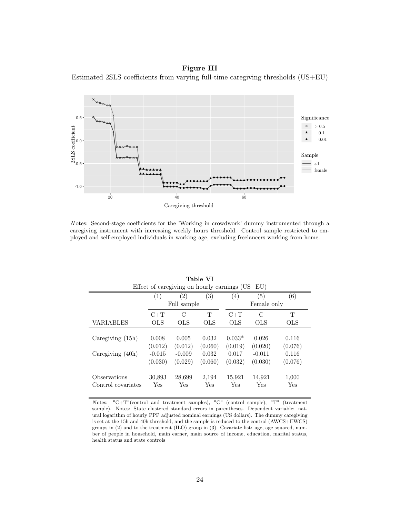Figure III Estimated 2SLS coefficients from varying full-time caregiving thresholds (US+EU)



N otes: Second-stage coefficients for the 'Working in crowdwork' dummy instrumented through a caregiving instrument with increasing weekly hours threshold. Control sample restricted to employed and self-employed individuals in working age, excluding freelancers working from home.

|                    |            |             | Effect of caregiving on hourly earnings $(US + EU)$ |                  |             |            |
|--------------------|------------|-------------|-----------------------------------------------------|------------------|-------------|------------|
|                    | (1)        | (2)         | (3)                                                 | $\left(4\right)$ | (5)         | (6)        |
|                    |            | Full sample |                                                     |                  | Female only |            |
|                    | $C+T$      | С           | Т                                                   | $C+T$            | C           | T          |
| VARIABLES          | <b>OLS</b> | <b>OLS</b>  | <b>OLS</b>                                          | <b>OLS</b>       | <b>OLS</b>  | <b>OLS</b> |
|                    |            |             |                                                     |                  |             |            |
| Caregiving $(15h)$ | 0.008      | 0.005       | 0.032                                               | $0.033*$         | 0.026       | 0.116      |
|                    | (0.012)    | (0.012)     | (0.060)                                             | (0.019)          | (0.020)     | (0.076)    |
| Caregiving (40h)   | $-0.015$   | $-0.009$    | 0.032                                               | 0.017            | $-0.011$    | 0.116      |
|                    | (0.030)    | (0.029)     | (0.060)                                             | (0.032)          | (0.030)     | (0.076)    |
| Observations       | 30,893     | 28,699      | 2,194                                               | 15,921           | 14,921      | 1,000      |
| Control covariates | Yes        | Yes         | Yes                                                 | Yes              | Yes         | Yes        |

Table VI

N otes: "C+T"(control and treatment samples), "C" (control sample), "T" (treatment sample). Notes: State clustered standard errors in parentheses. Dependent variable: natural logarithm of hourly PPP adjusted nominal earnings (US dollars). The dummy caregiving is set at the 15h and 40h threshold, and the sample is reduced to the control (AWCS+EWCS) groups in (2) and to the treatment (ILO) group in (3). Covariate list: age, age squared, number of people in household, main earner, main source of income, education, marital status, health status and state controls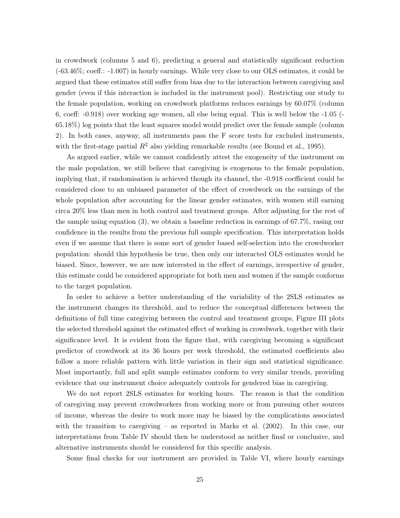in crowdwork (columns 5 and 6), predicting a general and statistically significant reduction (-63.46%; coeff.: -1.007) in hourly earnings. While very close to our OLS estimates, it could be argued that these estimates still suffer from bias due to the interaction between caregiving and gender (even if this interaction is included in the instrument pool). Restricting our study to the female population, working on crowdwork platforms reduces earnings by 60.07% (column 6, coeff: -0.918) over working age women, all else being equal. This is well below the -1.05 (- 65.18%) log points that the least squares model would predict over the female sample (column 2). In both cases, anyway, all instruments pass the F score tests for excluded instruments, with the first-stage partial  $R^2$  also yielding remarkable results (see Bound et al., 1995).

As argued earlier, while we cannot confidently attest the exogeneity of the instrument on the male population, we still believe that caregiving is exogenous to the female population, implying that, if randomisation is achieved though its channel, the -0.918 coefficient could be considered close to an unbiased parameter of the effect of crowdwork on the earnings of the whole population after accounting for the linear gender estimates, with women still earning circa 20% less than men in both control and treatment groups. After adjusting for the rest of the sample using equation (3), we obtain a baseline reduction in earnings of 67.7%, rasing our confidence in the results from the previous full sample specification. This interpretation holds even if we assume that there is some sort of gender based self-selection into the crowdworker population: should this hypothesis be true, then only our interacted OLS estimates would be biased. Since, however, we are now interested in the effect of earnings, irrespective of gender, this estimate could be considered appropriate for both men and women if the sample conforms to the target population.

In order to achieve a better understanding of the variability of the 2SLS estimates as the instrument changes its threshold, and to reduce the conceptual differences between the definitions of full time caregiving between the control and treatment groups, Figure III plots the selected threshold against the estimated effect of working in crowdwork, together with their significance level. It is evident from the figure that, with caregiving becoming a significant predictor of crowdwork at its 36 hours per week threshold, the estimated coefficients also follow a more reliable pattern with little variation in their sign and statistical significance. Most importantly, full and split sample estimates conform to very similar trends, providing evidence that our instrument choice adequately controls for gendered bias in caregiving.

We do not report 2SLS estimates for working hours. The reason is that the condition of caregiving may prevent crowdworkers from working more or from pursuing other sources of income, whereas the desire to work more may be biased by the complications associated with the transition to caregiving – as reported in Marks et al. (2002). In this case, our interpretations from Table IV should then be understood as neither final or conclusive, and alternative instruments should be considered for this specific analysis.

Some final checks for our instrument are provided in Table VI, where hourly earnings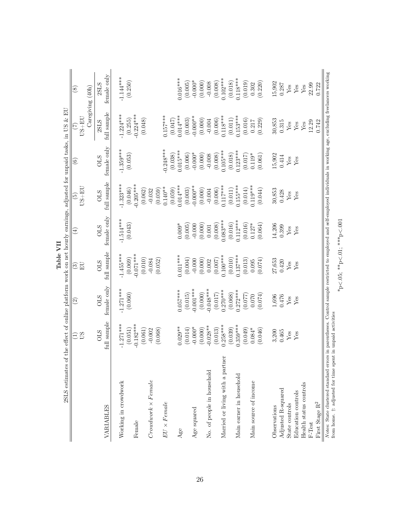| 2SLS estimates                                                                                                                                                                                                                                  |                                       |                           | Table VII                             | of the effect of online platform work on net hourly earnings, adjusted for unpaid tasks, in US $\&$ EU |                                         |                           |                                       |                                   |
|-------------------------------------------------------------------------------------------------------------------------------------------------------------------------------------------------------------------------------------------------|---------------------------------------|---------------------------|---------------------------------------|--------------------------------------------------------------------------------------------------------|-----------------------------------------|---------------------------|---------------------------------------|-----------------------------------|
|                                                                                                                                                                                                                                                 | US<br>Ξ                               | $\widehat{\varrho}$       | $_{\rm El}$<br>$\odot$                | $\bigoplus$                                                                                            | $US + EU$<br>$\widetilde{\mathfrak{G}}$ | $\widehat{\circ}$         | $US + EU$<br>E                        | Caregiving (40h)<br>$\circled{s}$ |
| VARIABLES                                                                                                                                                                                                                                       | full sample<br>STO                    | female only<br><b>CLS</b> | full sample<br><b>CTO</b>             | female only<br><b>OLS</b>                                                                              | full sample<br><b>OLS</b>               | female only<br><b>OLS</b> | full sample<br>2SLS                   | female only<br>2SLS               |
| Working in crowdwork<br>Female                                                                                                                                                                                                                  | $-1.271***$<br>$-0.182***$<br>(0.051) | $-1.271***$<br>(0.060)    | $-1.455***$<br>$-0.071***$<br>(0.069) | $-1.514***$<br>(0.043)                                                                                 | $-1.323***$<br>$-0.205***$<br>(0.046)   | $-1.359***$<br>(0.053)    | $-0.224***$<br>$-1.224***$<br>(0.255) | $-1.144***$<br>(0.250)            |
| $Crowdownk \times Female$                                                                                                                                                                                                                       | (0.061)<br>(0.068)<br>$-0.002$        |                           | (0.010)<br>(0.052)<br>$-0.084$        |                                                                                                        | (0.059)<br>(0.062)<br>$-0.032$          |                           | (0.048)                               |                                   |
| $EU\times Female$                                                                                                                                                                                                                               |                                       |                           |                                       |                                                                                                        | $0.140**$<br>(0.059)                    | $0.248***$<br>(0.038)     | $0.157***$<br>(0.047)                 |                                   |
| Age                                                                                                                                                                                                                                             | $0.029**$<br>(0.014)                  | $0.057***$<br>(0.015)     | $0.011***$                            | $0.009*$                                                                                               | $0.014***$<br>(0.003)                   | $0.015***$<br>(0.006)     | $0.014***$<br>(0.003)                 | $0.016***$                        |
| Age squared                                                                                                                                                                                                                                     | $-0.000*$                             | $0.001***$                | (0.004)<br>$-0.000$                   | $-0.000$<br>(0.005)                                                                                    | $-0.000$ **                             | $-0.000*$                 | $-0.000**$                            | $-0.000*$<br>(0.005)              |
| No. of people in household                                                                                                                                                                                                                      | $-0.028**$<br>(0.000)                 | $-0.048***$<br>(0.000)    | (0.000)<br>0.002                      | (0.000)<br>$0.001\,$                                                                                   | (0.000)<br>$-0.004$                     | (0.000)<br>$-0.008$       | (0.000)<br>$-0.004$                   | (0.000)<br>$-0.008$               |
| Married or living with a partner                                                                                                                                                                                                                | $0.258***$<br>(0.013)                 | $0.270***$<br>(0.017)     | $0.100***$<br>(0.007)                 | $0.083***$<br>(0.008)                                                                                  | $0.117***$<br>(0.006)                   | $0.105***$<br>(0.008)     | $0.118***$<br>(0.006)                 | $0.102***$<br>(0.008)             |
| Main earner in household                                                                                                                                                                                                                        | $0.359***$<br>(0.039)                 | $0.272***$<br>(0.068)     | $0.137***$<br>(0.010)                 | $0.112***$<br>(0.016)                                                                                  | $0.155***$<br>(0.011)                   | $0.123***$<br>(0.018)     | $0.153***$<br>$\left( 0.011\right)$   | $0.118***$<br>(0.018)             |
|                                                                                                                                                                                                                                                 | (0.049)<br>$0.084*$                   | (0.077)<br>0.070          | (0.013)<br>0.095                      | (0.016)<br>$0.127*$                                                                                    | $0.119***$<br>(0.014)                   | (0.017)<br>$0.119*$       | (0.016)<br>0.217                      | (0.019)<br>0.302                  |
| Main source of income                                                                                                                                                                                                                           | (0.046)                               | (0.074)                   | (0.074)                               | (0.064)                                                                                                | (0.044)                                 | (0.061)                   | (0.229)                               | (0.220)                           |
| Observations                                                                                                                                                                                                                                    | 3,200                                 | 1,696                     | 27,653                                | 14,206                                                                                                 | 30,853                                  | 15,902                    | 30,853                                | 15,902                            |
| Adjusted R-squared                                                                                                                                                                                                                              | 0.465                                 | 0.476                     | 0.420                                 | 0.399                                                                                                  | 0.428                                   | 0.414                     | 0.315                                 | 0.287                             |
| State controls                                                                                                                                                                                                                                  | $Y$ es                                | Yes                       | Yes                                   | Yes                                                                                                    | ${\rm Yes}$                             | $\operatorname{Yes}$      | Yes                                   | Yes                               |
| Health status controls<br>Education controls                                                                                                                                                                                                    | $Y$ es                                | Yes                       | Yes                                   | $Y$ es                                                                                                 | Yes                                     | Yes                       | ${\rm Yes}$<br>${\rm Yes}$            | ${\rm Yes}$<br>Yes                |
| F-Test                                                                                                                                                                                                                                          |                                       |                           |                                       |                                                                                                        |                                         |                           | 12.29                                 | 22.99                             |
| First Stage $\rm R^2$                                                                                                                                                                                                                           |                                       |                           |                                       |                                                                                                        |                                         |                           | 0.742                                 | 0.722                             |
| Notes: State clustered standard errors in parentheses. Control sample restricted to employed and self-employed individuals in working age, excluding freelancers working<br>from home. $\dagger$ : adjusted for time spent in unpaid activities |                                       |                           |                                       |                                                                                                        |                                         |                           |                                       |                                   |

 $*_{\text{p} < .05;}$   $*_{\text{p} < .01;}$   $**_{\text{p} < .001}$ \*p<.05; \*\*p<.01; \*\*\*p<.001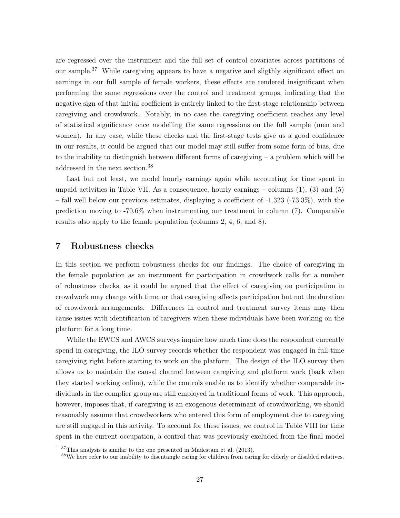are regressed over the instrument and the full set of control covariates across partitions of our sample.<sup>37</sup> While caregiving appears to have a negative and sligthly significant effect on earnings in our full sample of female workers, these effects are rendered insignificant when performing the same regressions over the control and treatment groups, indicating that the negative sign of that initial coefficient is entirely linked to the first-stage relationship between caregiving and crowdwork. Notably, in no case the caregiving coefficient reaches any level of statistical significance once modelling the same regressions on the full sample (men and women). In any case, while these checks and the first-stage tests give us a good confidence in our results, it could be argued that our model may still suffer from some form of bias, due to the inability to distinguish between different forms of caregiving  $-$  a problem which will be addressed in the next section.<sup>38</sup>

Last but not least, we model hourly earnings again while accounting for time spent in unpaid activities in Table VII. As a consequence, hourly earnings – columns  $(1)$ ,  $(3)$  and  $(5)$ – fall well below our previous estimates, displaying a coefficient of -1.323 (-73.3%), with the prediction moving to -70.6% when instrumenting our treatment in column (7). Comparable results also apply to the female population (columns 2, 4, 6, and 8).

#### 7 Robustness checks

In this section we perform robustness checks for our findings. The choice of caregiving in the female population as an instrument for participation in crowdwork calls for a number of robustness checks, as it could be argued that the effect of caregiving on participation in crowdwork may change with time, or that caregiving affects participation but not the duration of crowdwork arrangements. Differences in control and treatment survey items may then cause issues with identification of caregivers when these individuals have been working on the platform for a long time.

While the EWCS and AWCS surveys inquire how much time does the respondent currently spend in caregiving, the ILO survey records whether the respondent was engaged in full-time caregiving right before starting to work on the platform. The design of the ILO survey then allows us to maintain the causal channel between caregiving and platform work (back when they started working online), while the controls enable us to identify whether comparable individuals in the complier group are still employed in traditional forms of work. This approach, however, imposes that, if caregiving is an exogenous determinant of crowdworking, we should reasonably assume that crowdworkers who entered this form of employment due to caregiving are still engaged in this activity. To account for these issues, we control in Table VIII for time spent in the current occupation, a control that was previously excluded from the final model

 $37$ This analysis is similar to the one presented in Madestam et al. (2013).

<sup>&</sup>lt;sup>38</sup>We here refer to our inability to disentangle caring for children from caring for elderly or disabled relatives.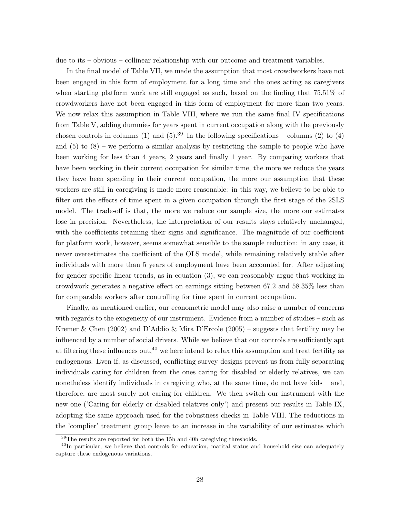due to its – obvious – collinear relationship with our outcome and treatment variables.

In the final model of Table VII, we made the assumption that most crowdworkers have not been engaged in this form of employment for a long time and the ones acting as caregivers when starting platform work are still engaged as such, based on the finding that 75.51% of crowdworkers have not been engaged in this form of employment for more than two years. We now relax this assumption in Table VIII, where we run the same final IV specifications from Table V, adding dummies for years spent in current occupation along with the previously chosen controls in columns (1) and (5).<sup>39</sup> In the following specifications – columns (2) to (4) and  $(5)$  to  $(8)$  – we perform a similar analysis by restricting the sample to people who have been working for less than 4 years, 2 years and finally 1 year. By comparing workers that have been working in their current occupation for similar time, the more we reduce the years they have been spending in their current occupation, the more our assumption that these workers are still in caregiving is made more reasonable: in this way, we believe to be able to filter out the effects of time spent in a given occupation through the first stage of the 2SLS model. The trade-off is that, the more we reduce our sample size, the more our estimates lose in precision. Nevertheless, the interpretation of our results stays relatively unchanged, with the coefficients retaining their signs and significance. The magnitude of our coefficient for platform work, however, seems somewhat sensible to the sample reduction: in any case, it never overestimates the coefficient of the OLS model, while remaining relatively stable after individuals with more than 5 years of employment have been accounted for. After adjusting for gender specific linear trends, as in equation (3), we can reasonably argue that working in crowdwork generates a negative effect on earnings sitting between 67.2 and 58.35% less than for comparable workers after controlling for time spent in current occupation.

Finally, as mentioned earlier, our econometric model may also raise a number of concerns with regards to the exogeneity of our instrument. Evidence from a number of studies – such as Kremer & Chen (2002) and D'Addio & Mira D'Ercole (2005) – suggests that fertility may be influenced by a number of social drivers. While we believe that our controls are sufficiently apt at filtering these influences out,  $40$  we here intend to relax this assumption and treat fertility as endogenous. Even if, as discussed, conflicting survey designs prevent us from fully separating individuals caring for children from the ones caring for disabled or elderly relatives, we can nonetheless identify individuals in caregiving who, at the same time, do not have kids – and, therefore, are most surely not caring for children. We then switch our instrument with the new one ('Caring for elderly or disabled relatives only') and present our results in Table IX, adopting the same approach used for the robustness checks in Table VIII. The reductions in the 'complier' treatment group leave to an increase in the variability of our estimates which

 $39$ The results are reported for both the 15h and 40h caregiving thresholds.

<sup>&</sup>lt;sup>40</sup>In particular, we believe that controls for education, marital status and household size can adequately capture these endogenous variations.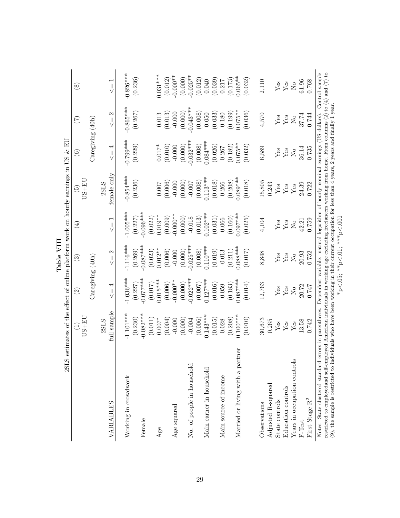| <b>2SL</b>                                                                                                                                                                                                                                                                                                      |                        |                           | Table VIII                        |                                          | S estimates of the effect of online platform work on hourly earnings in US $\&$ EU |                           |                               |                                          |
|-----------------------------------------------------------------------------------------------------------------------------------------------------------------------------------------------------------------------------------------------------------------------------------------------------------------|------------------------|---------------------------|-----------------------------------|------------------------------------------|------------------------------------------------------------------------------------|---------------------------|-------------------------------|------------------------------------------|
|                                                                                                                                                                                                                                                                                                                 | $US + EU$<br>E         | $\widetilde{\varrho}$     | $\widehat{\mathbb{G}}$            | $\bigoplus$                              | $US + EU$<br>စြ                                                                    | $\widehat{\circ}$         | E                             | $\circledast$                            |
|                                                                                                                                                                                                                                                                                                                 |                        | $\text{Caregiving (40h)}$ |                                   |                                          |                                                                                    | $\text{Caregiving}$ (40h) |                               |                                          |
|                                                                                                                                                                                                                                                                                                                 | 2SLS                   |                           |                                   |                                          | 2SLS                                                                               |                           |                               |                                          |
| VARIABLES                                                                                                                                                                                                                                                                                                       | full sample            | 4<br>$\frac{1}{2}$<br>V   | $\mathbf{\Omega}$<br>$\vert\vert$ | $\overline{\phantom{0}}$<br>$\vert\vert$ | female only                                                                        | 4<br>$\vert\vert$<br>V    | $\mathcal{C}$<br>$\vert\vert$ | $\overline{\phantom{0}}$<br>$\vert\vert$ |
| Working in crowdwork                                                                                                                                                                                                                                                                                            | $-1.101***$            | $-1.036***$               | $-1.116***$                       | $-1.005***$                              | $-0.854***$                                                                        | $-0.799***$               | $-0.865***$                   | $-0.826***$                              |
|                                                                                                                                                                                                                                                                                                                 | (0.230)                | (0.227)                   | (0.269)                           | (0.227)                                  | (0.236)                                                                            | (0.229)                   | (0.267)                       | (0.236)                                  |
| Female                                                                                                                                                                                                                                                                                                          | $-0.082***$<br>(0.011) | $-0.077$ ***<br>(0.017)   | $-0.087***$<br>(0.023)            | $-0.096***$<br>(0.022)                   |                                                                                    |                           |                               |                                          |
| Age                                                                                                                                                                                                                                                                                                             | $0.007*$               | $0.015***$                | $0.012**$                         | $0.019**$                                | 0.007                                                                              | $0.017*$                  | 0.013                         | $0.031***$                               |
|                                                                                                                                                                                                                                                                                                                 | (0.004)                | (0.006)                   | (0.006)                           | (0.009)                                  | (0.006)                                                                            | (0.010)                   | (0.013)                       | (0.012)                                  |
| Age squared                                                                                                                                                                                                                                                                                                     | $-0.000$               | $-0.000**$                | $-0.000$                          | $-0.000**$                               | $-0.000$                                                                           | $-0.000$                  | $-0.000$                      | $-0.000**$                               |
|                                                                                                                                                                                                                                                                                                                 | (0.000)                | (0.000)                   | (0.000)                           | (0.000)                                  | (0.000)                                                                            | (0.000)                   | (0.000)                       | (0.000)                                  |
| No. of people in household                                                                                                                                                                                                                                                                                      | $-0.004$               | $0.022***$                | $0.025***$                        | $-0.018$                                 | $-0.007$                                                                           | $0.032***$                | $0.043***$                    | $-0.025**$                               |
|                                                                                                                                                                                                                                                                                                                 | (0.006)                | (0.007)                   | (0.008)                           | (0.013)                                  | (0.008)                                                                            | (0.008)                   | (0.008)                       | (0.012)                                  |
| Main earner in household                                                                                                                                                                                                                                                                                        | $0.143***$             | $0.127***$                | $0.110***$                        | $0.102***$                               | $0.113***$                                                                         | $0.084***$                | 0.050                         | 0.040                                    |
|                                                                                                                                                                                                                                                                                                                 | (0.015)                | (0.016)                   | (0.019)                           | (0.031)                                  | (0.018)                                                                            | (0.026)                   | (0.033)                       | (0.039)                                  |
| Main source of income                                                                                                                                                                                                                                                                                           | 0.028                  | 0.059                     | $-0.013$                          | 0.066                                    | 0.266                                                                              | 0.267                     | 0.180                         | 0.217                                    |
|                                                                                                                                                                                                                                                                                                                 | (0.208)                | (0.183)                   | (0.211)                           | (0.160)                                  | (0.208)                                                                            | (0.182)                   | (0.199)                       | (0.173)                                  |
| Married or living with a partner                                                                                                                                                                                                                                                                                | $0.100***$             | $0.087***$                | $0.088***$                        | $0.097***$                               | $0.089***$                                                                         | $0.075**$                 | $0.075**$                     | $0.065**$                                |
|                                                                                                                                                                                                                                                                                                                 | (0.010)                | (0.014)                   | (0.017)                           | (0.025)                                  | (0.018)                                                                            | (0.032)                   | (0.036)                       | (0.032)                                  |
| Observations                                                                                                                                                                                                                                                                                                    | 30,673                 | 12,763                    | 8,848                             | 4,104                                    | 15,805                                                                             | 6,589                     | 4,570                         | 2,110                                    |
| Adjusted R-squared                                                                                                                                                                                                                                                                                              | 0.265                  |                           |                                   |                                          | 0.243                                                                              |                           |                               |                                          |
| State controls                                                                                                                                                                                                                                                                                                  | ${\rm Yes}$            | ${\rm Yes}$               | ${\rm Yes}$                       | ${\rm Yes}$                              | Yes                                                                                | ${\rm Yes}$               | ${\rm Yes}$                   | ${\rm Yes}$                              |
| Education controls                                                                                                                                                                                                                                                                                              | $\rm Yes$              | ${\rm Yes}$               | ${\rm Yes}$                       | ${\rm Yes}$                              | $\rm Yes$                                                                          | ${\rm Yes}$               | ${\rm Yes}$                   | $\ensuremath{\mathrm{Yes}}$              |
| Years in occupation controls                                                                                                                                                                                                                                                                                    | Yes                    | $\mathsf{S}^{\mathsf{O}}$ | $\overline{R}$                    | $\overline{S}$                           | $\rm Yes$                                                                          | $\mathsf{S}^{\mathsf{O}}$ | $\rm \stackrel{\circ}{\rm X}$ | $\rm \stackrel{\circ}{X}$                |
| F-Test                                                                                                                                                                                                                                                                                                          | 13.58                  | $20.72\,$                 | 20.93                             | 42.21                                    | 24.39                                                                              | 36.14                     | $37.74\,$                     | 61.96                                    |
| First Stage $\rm R^2$                                                                                                                                                                                                                                                                                           | 0.742                  | 747                       | 0.752                             | 0.759                                    | 0.722                                                                              | 0.735                     | 0.744                         | 0.768                                    |
| Notes: State clustered standard errors in parentheses. Dependent variable: natural logarithm of hourly nominal earnings (US dollars). Control sample<br>restricted to employedand self-employed American individuals in working age excluding freelancers working from home. From columns (2) to (4) and (7) to |                        |                           |                                   |                                          |                                                                                    |                           |                               |                                          |
| (9), the sample is restricted to individuals who have been working in their current occupation for less than 4 years, 2 years and finally 1 year.                                                                                                                                                               |                        |                           |                                   |                                          |                                                                                    |                           |                               |                                          |
|                                                                                                                                                                                                                                                                                                                 |                        |                           |                                   |                                          |                                                                                    |                           |                               |                                          |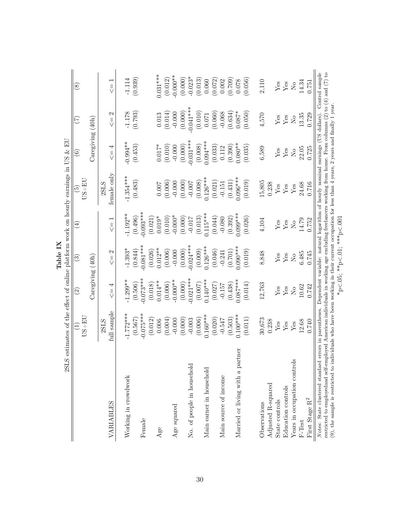| 2S <sub>L</sub>                                                                                                                                                                                                                                                                                              |                      |                                                                        | Lable 1A                                                               |                           | S estimates of the effect of online platform work on hourly earnings in US $\&$ EU |                            |                                       |                                        |
|--------------------------------------------------------------------------------------------------------------------------------------------------------------------------------------------------------------------------------------------------------------------------------------------------------------|----------------------|------------------------------------------------------------------------|------------------------------------------------------------------------|---------------------------|------------------------------------------------------------------------------------|----------------------------|---------------------------------------|----------------------------------------|
|                                                                                                                                                                                                                                                                                                              | $JS+EC$              | $\odot$                                                                | $\widehat{\mathbb{G}}$                                                 | $\widehat{A}$             | $JS + EI$<br>$\widetilde{\mathbb{G}}$                                              | $\odot$                    | E                                     | $\circled{s}$                          |
|                                                                                                                                                                                                                                                                                                              |                      | $\text{Caregiving}$ (40h)                                              |                                                                        |                           |                                                                                    | $\text{Caregiving}$ (40h)  |                                       |                                        |
|                                                                                                                                                                                                                                                                                                              | 2SLS                 |                                                                        |                                                                        |                           | 2SLS                                                                               |                            |                                       |                                        |
| VARIABLES                                                                                                                                                                                                                                                                                                    | full sample          | 4<br>$\parallel$                                                       | $\mathfrak{a}$<br>$\frac{1}{\sqrt{2}}$                                 | $\leq -1$                 | female only                                                                        | 4<br>$\vert\vert$<br>Ÿ     | $\mathcal{C}$<br>$\frac{1}{\sqrt{2}}$ | $\overline{ }$<br>$\frac{1}{\sqrt{2}}$ |
| Working in crowdwork                                                                                                                                                                                                                                                                                         | $-1.772***$          | $-1.299**$                                                             | $-1.393*$                                                              | $-1.192**$                | $-1.354***$                                                                        | $-0.994**$                 | $-1.178$                              | $-1.114$                               |
|                                                                                                                                                                                                                                                                                                              | (0.567)              | (0.506)                                                                | (0.844)                                                                | (0.496)                   | (0.483)                                                                            | (0.453)                    | (0.793)                               | (0.939)                                |
| Female                                                                                                                                                                                                                                                                                                       | $-0.075***$          | $0.073***$                                                             | $0.081***$                                                             | $0.093***$                |                                                                                    |                            |                                       |                                        |
|                                                                                                                                                                                                                                                                                                              | (0.012)              | (0.018)                                                                | (0.026)                                                                | (0.021)                   |                                                                                    |                            |                                       |                                        |
| Age                                                                                                                                                                                                                                                                                                          | 0.006                | $0.014**$                                                              | $0.012**$                                                              | $0.019*$                  | 0.007                                                                              | $0.017*$                   | 0.013                                 | $0.031***$                             |
|                                                                                                                                                                                                                                                                                                              | (0.004)              | (0.006)                                                                | (0.006)                                                                | (0.010)                   | (0.006)                                                                            | (0.010)                    | (0.014)                               | (0.012)                                |
| Age squared                                                                                                                                                                                                                                                                                                  | $-0.000$             | $-0.000**$                                                             | $-0.000$                                                               | $-0.000*$                 | $-0.000$                                                                           | $-0.000$                   | $-0.000$                              | $-0.000**$                             |
|                                                                                                                                                                                                                                                                                                              | (0.000)              | (0.000)                                                                | (0.000)                                                                | (0.000)                   | (0.000)                                                                            | (0.000)                    | (0.000)                               | (0.000)                                |
| No. of people in household                                                                                                                                                                                                                                                                                   | $-0.003$             | $-0.021***$                                                            | $-0.024***$                                                            | $-0.017$                  | $-0.007$                                                                           | $-0.031***$                | $-0.041***$                           | $-0.023*$                              |
|                                                                                                                                                                                                                                                                                                              | (0.006)              | (0.007)                                                                | (0.009)                                                                | (0.013)                   | (0.008)                                                                            | (0.008)                    | (0.010)                               | (0.013)                                |
| Main earner in household                                                                                                                                                                                                                                                                                     | $0.160***$           | $0.140***$                                                             | $0.126***$                                                             | $0.115***$                | $0.126***$                                                                         | $0.094***$                 | 0.071                                 | 0.060                                  |
|                                                                                                                                                                                                                                                                                                              | (0.020)              | (0.027)                                                                | (0.046)                                                                | (0.044)                   | (0.021)                                                                            | (0.033)                    | (0.060)                               | (0.072)                                |
| Main source of income                                                                                                                                                                                                                                                                                        | $-0.547$             | $-0.157$                                                               | $-0.241$                                                               | $-0.080$                  | $-0.151$                                                                           | 0.112                      | $-0.068$                              | 0.002                                  |
|                                                                                                                                                                                                                                                                                                              | (0.503)              | (0.438)                                                                | (0.701)                                                                | (0.392)                   | (0.431)                                                                            | (0.390)                    | (0.634)                               | (0.709)                                |
| Married or living with a partner                                                                                                                                                                                                                                                                             | $0.100***$           | $0.087***$                                                             | $0.090***$                                                             | $0.099***$                | $0.096***$                                                                         | $0.080**$                  | $0.087*$                              | 0.078                                  |
|                                                                                                                                                                                                                                                                                                              | (0.011)              | (0.014)                                                                | (0.019)                                                                | (0.026)                   | (0.019)                                                                            | (0.035)                    | (0.050)                               | (0.056)                                |
| Observations                                                                                                                                                                                                                                                                                                 | 30,673               | 12,763                                                                 | 8,848                                                                  | 4,104                     | 15,805                                                                             | 6,589                      | 4,570                                 | 2,110                                  |
| Adjusted R-squared                                                                                                                                                                                                                                                                                           | 0.238                |                                                                        |                                                                        |                           | 0.238                                                                              |                            |                                       |                                        |
| State controls                                                                                                                                                                                                                                                                                               | ${\rm Yes}$          | ${\rm Yes}$                                                            | ${\rm Yes}$                                                            | ${\rm Yes}$               | ${\rm Yes}$                                                                        | ${\rm Yes}$                | ${\rm Yes}$                           | ${\rm Yes}$                            |
| Education controls                                                                                                                                                                                                                                                                                           | $\operatorname{Yes}$ | $\operatorname{Yes}$                                                   | ${\rm Yes}$                                                            | $\mathbf{Yes}$            | $\operatorname{Yes}$                                                               | $\mathbf{Yes}$             | $\mathbf{Y}\mathbf{es}$               | $\operatorname{Yes}$                   |
| S<br>Years in occupation control                                                                                                                                                                                                                                                                             | Yes                  | $\rm \stackrel{\circ}{\rm \stackrel{\circ}{\rm \scriptscriptstyle M}}$ | $\rm \stackrel{\circ}{\rm \stackrel{\circ}{\rm \scriptscriptstyle M}}$ | $\rm \stackrel{\circ}{X}$ | $\operatorname{Yes}$                                                               | $\stackrel{\circ}{\simeq}$ | $\rm _{N}^{\circ}$                    | $\rm \stackrel{\circ}{Z}$              |
| $\mbox{F-Test}$                                                                                                                                                                                                                                                                                              | 12.68                | 10.62                                                                  | 6.485                                                                  | 14.79                     | 24.68                                                                              | 22.05                      | 13.35                                 | 14.34                                  |
| First Stage $\rm R^2$                                                                                                                                                                                                                                                                                        | 0.740                | 0.742                                                                  | 0.745                                                                  | 0.752                     | 0.716                                                                              | 0.725                      | 0.729                                 | 0.751                                  |
| Notes: State clustered standard errors in parentheses. Dependent variable: natural logarithm of hourly nominal earnings (US dollars). Control sample                                                                                                                                                         |                      |                                                                        |                                                                        |                           |                                                                                    |                            |                                       |                                        |
| restricted to employedand self-employed American individuals in working age excluding freelancers working from home. From columns (2) to (4) and (7) to<br>(9), the sample is restricted to individuals who have been working in their current occupation for less than 4 years, 2 years and finally 1 year. |                      |                                                                        |                                                                        |                           |                                                                                    |                            |                                       |                                        |
|                                                                                                                                                                                                                                                                                                              |                      |                                                                        | *p<.05; **p<.01; ***p<.001                                             |                           |                                                                                    |                            |                                       |                                        |
|                                                                                                                                                                                                                                                                                                              |                      |                                                                        |                                                                        |                           |                                                                                    |                            |                                       |                                        |

\*p<.05; \*\*p<.01; \*\*\*p<.001

Table IX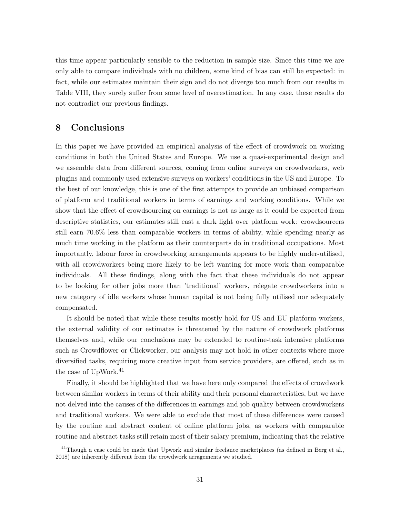this time appear particularly sensible to the reduction in sample size. Since this time we are only able to compare individuals with no children, some kind of bias can still be expected: in fact, while our estimates maintain their sign and do not diverge too much from our results in Table VIII, they surely suffer from some level of overestimation. In any case, these results do not contradict our previous findings.

#### 8 Conclusions

In this paper we have provided an empirical analysis of the effect of crowdwork on working conditions in both the United States and Europe. We use a quasi-experimental design and we assemble data from different sources, coming from online surveys on crowdworkers, web plugins and commonly used extensive surveys on workers' conditions in the US and Europe. To the best of our knowledge, this is one of the first attempts to provide an unbiased comparison of platform and traditional workers in terms of earnings and working conditions. While we show that the effect of crowdsourcing on earnings is not as large as it could be expected from descriptive statistics, our estimates still cast a dark light over platform work: crowdsourcers still earn 70.6% less than comparable workers in terms of ability, while spending nearly as much time working in the platform as their counterparts do in traditional occupations. Most importantly, labour force in crowdworking arrangements appears to be highly under-utilised, with all crowdworkers being more likely to be left wanting for more work than comparable individuals. All these findings, along with the fact that these individuals do not appear to be looking for other jobs more than 'traditional' workers, relegate crowdworkers into a new category of idle workers whose human capital is not being fully utilised nor adequately compensated.

It should be noted that while these results mostly hold for US and EU platform workers, the external validity of our estimates is threatened by the nature of crowdwork platforms themselves and, while our conclusions may be extended to routine-task intensive platforms such as Crowdflower or Clickworker, our analysis may not hold in other contexts where more diversified tasks, requiring more creative input from service providers, are offered, such as in the case of UpWork.<sup>41</sup>

Finally, it should be highlighted that we have here only compared the effects of crowdwork between similar workers in terms of their ability and their personal characteristics, but we have not delved into the causes of the differences in earnings and job quality between crowdworkers and traditional workers. We were able to exclude that most of these differences were caused by the routine and abstract content of online platform jobs, as workers with comparable routine and abstract tasks still retain most of their salary premium, indicating that the relative

 $41$ Though a case could be made that Upwork and similar freelance marketplaces (as defined in Berg et al., 2018) are inherently different from the crowdwork arragements we studied.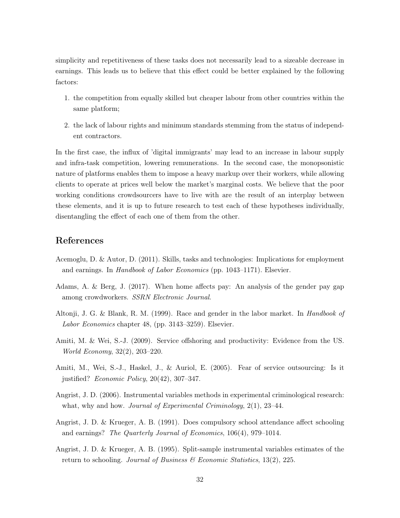simplicity and repetitiveness of these tasks does not necessarily lead to a sizeable decrease in earnings. This leads us to believe that this effect could be better explained by the following factors:

- 1. the competition from equally skilled but cheaper labour from other countries within the same platform;
- 2. the lack of labour rights and minimum standards stemming from the status of independent contractors.

In the first case, the influx of 'digital immigrants' may lead to an increase in labour supply and infra-task competition, lowering remunerations. In the second case, the monopsonistic nature of platforms enables them to impose a heavy markup over their workers, while allowing clients to operate at prices well below the market's marginal costs. We believe that the poor working conditions crowdsourcers have to live with are the result of an interplay between these elements, and it is up to future research to test each of these hypotheses individually, disentangling the effect of each one of them from the other.

### References

- Acemoglu, D. & Autor, D. (2011). Skills, tasks and technologies: Implications for employment and earnings. In Handbook of Labor Economics (pp. 1043–1171). Elsevier.
- Adams, A. & Berg, J. (2017). When home affects pay: An analysis of the gender pay gap among crowdworkers. SSRN Electronic Journal.
- Altonji, J. G. & Blank, R. M. (1999). Race and gender in the labor market. In *Handbook of* Labor Economics chapter 48, (pp. 3143–3259). Elsevier.
- Amiti, M. & Wei, S.-J. (2009). Service offshoring and productivity: Evidence from the US. World Economy, 32(2), 203–220.
- Amiti, M., Wei, S.-J., Haskel, J., & Auriol, E. (2005). Fear of service outsourcing: Is it justified? Economic Policy, 20(42), 307–347.
- Angrist, J. D. (2006). Instrumental variables methods in experimental criminological research: what, why and how. *Journal of Experimental Criminology*, 2(1), 23–44.
- Angrist, J. D. & Krueger, A. B. (1991). Does compulsory school attendance affect schooling and earnings? The Quarterly Journal of Economics, 106(4), 979–1014.
- Angrist, J. D. & Krueger, A. B. (1995). Split-sample instrumental variables estimates of the return to schooling. Journal of Business  $\mathcal C$  Economic Statistics, 13(2), 225.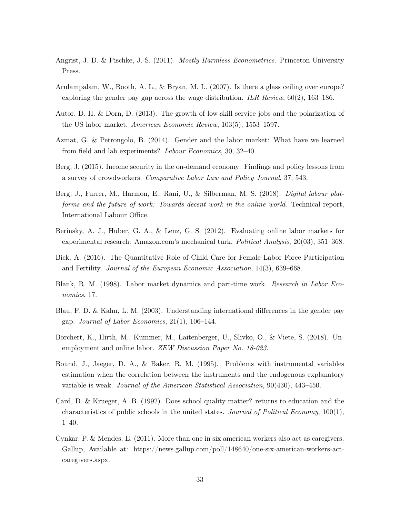- Angrist, J. D. & Pischke, J.-S. (2011). *Mostly Harmless Econometrics*. Princeton University Press.
- Arulampalam, W., Booth, A. L., & Bryan, M. L. (2007). Is there a glass ceiling over europe? exploring the gender pay gap across the wage distribution. ILR Review,  $60(2)$ , 163–186.
- Autor, D. H. & Dorn, D. (2013). The growth of low-skill service jobs and the polarization of the US labor market. American Economic Review, 103(5), 1553–1597.
- Azmat, G. & Petrongolo, B. (2014). Gender and the labor market: What have we learned from field and lab experiments? Labour Economics, 30, 32–40.
- Berg, J. (2015). Income security in the on-demand economy: Findings and policy lessons from a survey of crowdworkers. Comparative Labor Law and Policy Journal, 37, 543.
- Berg, J., Furrer, M., Harmon, E., Rani, U., & Silberman, M. S. (2018). Digital labour platforms and the future of work: Towards decent work in the online world. Technical report, International Labour Office.
- Berinsky, A. J., Huber, G. A., & Lenz, G. S. (2012). Evaluating online labor markets for experimental research: Amazon.com's mechanical turk. Political Analysis, 20(03), 351–368.
- Bick, A. (2016). The Quantitative Role of Child Care for Female Labor Force Participation and Fertility. Journal of the European Economic Association, 14(3), 639–668.
- Blank, R. M. (1998). Labor market dynamics and part-time work. Research in Labor Economics, 17.
- Blau, F. D. & Kahn, L. M. (2003). Understanding international differences in the gender pay gap. Journal of Labor Economics, 21(1), 106–144.
- Borchert, K., Hirth, M., Kummer, M., Laitenberger, U., Slivko, O., & Viete, S. (2018). Unemployment and online labor. *ZEW Discussion Paper No.* 18-023.
- Bound, J., Jaeger, D. A., & Baker, R. M. (1995). Problems with instrumental variables estimation when the correlation between the instruments and the endogenous explanatory variable is weak. Journal of the American Statistical Association, 90(430), 443–450.
- Card, D. & Krueger, A. B. (1992). Does school quality matter? returns to education and the characteristics of public schools in the united states. Journal of Political Economy, 100(1), 1–40.
- Cynkar, P. & Mendes, E. (2011). More than one in six american workers also act as caregivers. Gallup, Available at: https://news.gallup.com/poll/148640/one-six-american-workers-actcaregivers.aspx.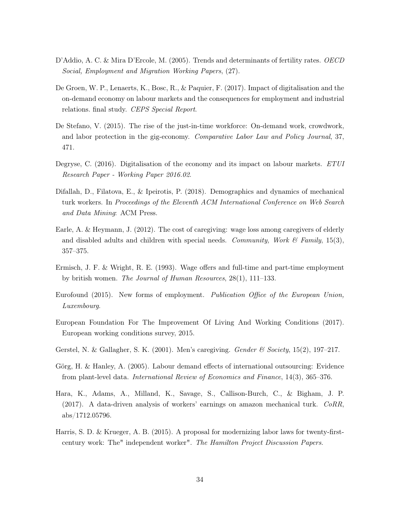- D'Addio, A. C. & Mira D'Ercole, M. (2005). Trends and determinants of fertility rates. OECD Social, Employment and Migration Working Papers, (27).
- De Groen, W. P., Lenaerts, K., Bosc, R., & Paquier, F. (2017). Impact of digitalisation and the on-demand economy on labour markets and the consequences for employment and industrial relations. final study. CEPS Special Report.
- De Stefano, V. (2015). The rise of the just-in-time workforce: On-demand work, crowdwork, and labor protection in the gig-economy. Comparative Labor Law and Policy Journal, 37, 471.
- Degryse, C. (2016). Digitalisation of the economy and its impact on labour markets. ETUI Research Paper - Working Paper 2016.02.
- Difallah, D., Filatova, E., & Ipeirotis, P. (2018). Demographics and dynamics of mechanical turk workers. In Proceedings of the Eleventh ACM International Conference on Web Search and Data Mining: ACM Press.
- Earle, A. & Heymann, J. (2012). The cost of caregiving: wage loss among caregivers of elderly and disabled adults and children with special needs. Community, Work & Family, 15(3), 357–375.
- Ermisch, J. F. & Wright, R. E. (1993). Wage offers and full-time and part-time employment by british women. The Journal of Human Resources, 28(1), 111–133.
- Eurofound (2015). New forms of employment. Publication Office of the European Union, Luxembourg.
- European Foundation For The Improvement Of Living And Working Conditions (2017). European working conditions survey, 2015.
- Gerstel, N. & Gallagher, S. K. (2001). Men's caregiving. *Gender & Society*, 15(2), 197–217.
- Görg, H. & Hanley, A. (2005). Labour demand effects of international outsourcing: Evidence from plant-level data. International Review of Economics and Finance, 14(3), 365–376.
- Hara, K., Adams, A., Milland, K., Savage, S., Callison-Burch, C., & Bigham, J. P.  $(2017)$ . A data-driven analysis of workers' earnings on amazon mechanical turk.  $CoRR$ , abs/1712.05796.
- Harris, S. D. & Krueger, A. B. (2015). A proposal for modernizing labor laws for twenty-firstcentury work: The" independent worker". The Hamilton Project Discussion Papers.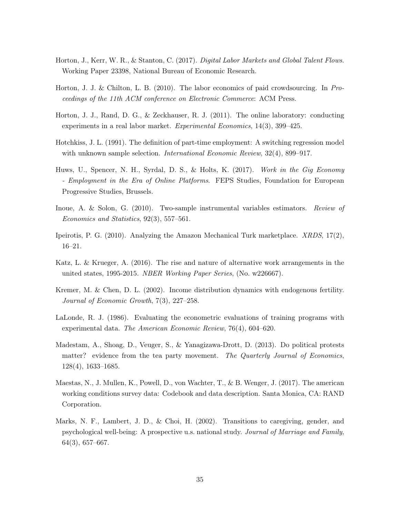- Horton, J., Kerr, W. R., & Stanton, C. (2017). Digital Labor Markets and Global Talent Flows. Working Paper 23398, National Bureau of Economic Research.
- Horton, J. J. & Chilton, L. B. (2010). The labor economics of paid crowdsourcing. In Proceedings of the 11th ACM conference on Electronic Commerce: ACM Press.
- Horton, J. J., Rand, D. G., & Zeckhauser, R. J. (2011). The online laboratory: conducting experiments in a real labor market. Experimental Economics, 14(3), 399–425.
- Hotchkiss, J. L. (1991). The definition of part-time employment: A switching regression model with unknown sample selection. *International Economic Review*,  $32(4)$ , 899–917.
- Huws, U., Spencer, N. H., Syrdal, D. S., & Holts, K. (2017). Work in the Gig Economy - Employment in the Era of Online Platforms. FEPS Studies, Foundation for European Progressive Studies, Brussels.
- Inoue, A. & Solon, G. (2010). Two-sample instrumental variables estimators. Review of Economics and Statistics, 92(3), 557–561.
- Ipeirotis, P. G. (2010). Analyzing the Amazon Mechanical Turk marketplace. XRDS, 17(2), 16–21.
- Katz, L. & Krueger, A. (2016). The rise and nature of alternative work arrangements in the united states, 1995-2015. NBER Working Paper Series, (No. w226667).
- Kremer, M. & Chen, D. L. (2002). Income distribution dynamics with endogenous fertility. Journal of Economic Growth, 7(3), 227–258.
- LaLonde, R. J. (1986). Evaluating the econometric evaluations of training programs with experimental data. The American Economic Review, 76(4), 604–620.
- Madestam, A., Shoag, D., Veuger, S., & Yanagizawa-Drott, D. (2013). Do political protests matter? evidence from the tea party movement. The Quarterly Journal of Economics, 128(4), 1633–1685.
- Maestas, N., J. Mullen, K., Powell, D., von Wachter, T., & B. Wenger, J. (2017). The american working conditions survey data: Codebook and data description. Santa Monica, CA: RAND Corporation.
- Marks, N. F., Lambert, J. D., & Choi, H. (2002). Transitions to caregiving, gender, and psychological well-being: A prospective u.s. national study. Journal of Marriage and Family, 64(3), 657–667.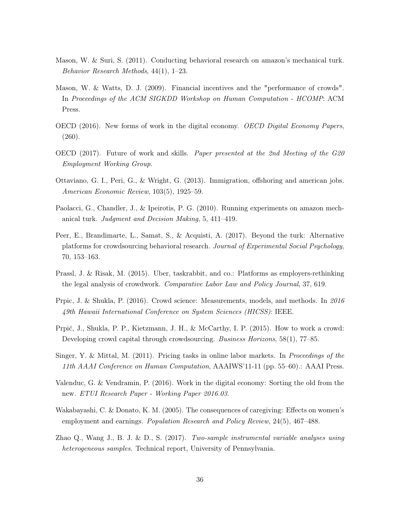- Mason, W. & Suri, S. (2011). Conducting behavioral research on amazon's mechanical turk. Behavior Research Methods, 44(1), 1–23.
- Mason, W. & Watts, D. J. (2009). Financial incentives and the "performance of crowds". In Proceedings of the ACM SIGKDD Workshop on Human Computation - HCOMP: ACM Press.
- OECD (2016). New forms of work in the digital economy. OECD Digital Economy Papers, (260).
- OECD (2017). Future of work and skills. Paper presented at the 2nd Meeting of the G20 Employment Working Group.
- Ottaviano, G. I., Peri, G., & Wright, G. (2013). Immigration, offshoring and american jobs. American Economic Review, 103(5), 1925–59.
- Paolacci, G., Chandler, J., & Ipeirotis, P. G. (2010). Running experiments on amazon mechanical turk. Judgment and Decision Making, 5, 411–419.
- Peer, E., Brandimarte, L., Samat, S., & Acquisti, A. (2017). Beyond the turk: Alternative platforms for crowdsourcing behavioral research. Journal of Experimental Social Psychology, 70, 153–163.
- Prassl, J. & Risak, M. (2015). Uber, taskrabbit, and co.: Platforms as employers-rethinking the legal analysis of crowdwork. Comparative Labor Law and Policy Journal, 37, 619.
- Prpic, J. & Shukla, P. (2016). Crowd science: Measurements, models, and methods. In 2016 49th Hawaii International Conference on System Sciences (HICSS): IEEE.
- Prpić, J., Shukla, P. P., Kietzmann, J. H., & McCarthy, I. P. (2015). How to work a crowd: Developing crowd capital through crowdsourcing. Business Horizons, 58(1), 77–85.
- Singer, Y. & Mittal, M. (2011). Pricing tasks in online labor markets. In *Proceedings of the* 11th AAAI Conference on Human Computation, AAAIWS'11-11 (pp. 55–60).: AAAI Press.
- Valenduc, G. & Vendramin, P. (2016). Work in the digital economy: Sorting the old from the new. ETUI Research Paper - Working Paper 2016.03.
- Wakabayashi, C. & Donato, K. M. (2005). The consequences of caregiving: Effects on women's employment and earnings. Population Research and Policy Review, 24(5), 467–488.
- Zhao Q., Wang J., B. J. & D., S. (2017). Two-sample instrumental variable analyses using heterogeneous samples. Technical report, University of Pennsylvania.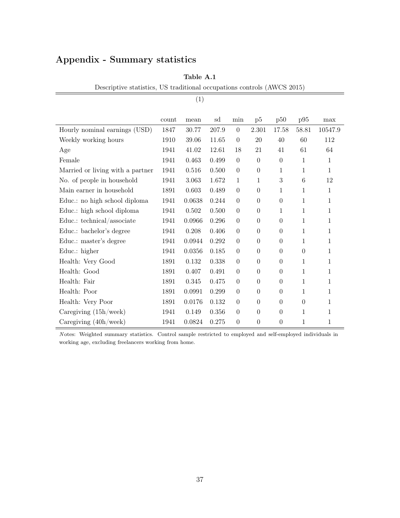## Appendix - Summary statistics

|                                  |       | (1)    |       |                  |                  |                  |                  |              |
|----------------------------------|-------|--------|-------|------------------|------------------|------------------|------------------|--------------|
|                                  | count | mean   | sd    | min              | p5               | p50              | p95              | max          |
| Hourly nominal earnings (USD)    | 1847  | 30.77  | 207.9 | $\overline{0}$   | 2.301            | 17.58            | 58.81            | 10547.9      |
| Weekly working hours             | 1910  | 39.06  | 11.65 | $\overline{0}$   | 20               | 40               | 60               | 112          |
| Age                              | 1941  | 41.02  | 12.61 | 18               | 21               | 41               | 61               | 64           |
| Female                           | 1941  | 0.463  | 0.499 | $\theta$         | $\overline{0}$   | $\overline{0}$   | 1                | $\mathbf{1}$ |
| Married or living with a partner | 1941  | 0.516  | 0.500 | $\theta$         | $\boldsymbol{0}$ | $\mathbf{1}$     | 1                | $\mathbf{1}$ |
| No. of people in household       | 1941  | 3.063  | 1.672 | 1                | $\mathbf{1}$     | 3                | $6\phantom{.}6$  | 12           |
| Main earner in household         | 1891  | 0.603  | 0.489 | $\overline{0}$   | $\boldsymbol{0}$ | 1                | 1                | $\mathbf{1}$ |
| Educ.: no high school diploma    | 1941  | 0.0638 | 0.244 | $\overline{0}$   | $\boldsymbol{0}$ | $\boldsymbol{0}$ | 1                | $\mathbf{1}$ |
| Educ.: high school diploma       | 1941  | 0.502  | 0.500 | $\overline{0}$   | $\boldsymbol{0}$ | 1                | 1                | 1            |
| Educ.: technical/associate       | 1941  | 0.0966 | 0.296 | $\overline{0}$   | $\boldsymbol{0}$ | $\theta$         | 1                | 1            |
| Educ.: bachelor's degree         | 1941  | 0.208  | 0.406 | $\boldsymbol{0}$ | $\boldsymbol{0}$ | $\boldsymbol{0}$ | 1                | $\mathbf{1}$ |
| Educ.: master's degree           | 1941  | 0.0944 | 0.292 | $\overline{0}$   | $\boldsymbol{0}$ | $\boldsymbol{0}$ | 1                | 1            |
| Educ.: higher                    | 1941  | 0.0356 | 0.185 | $\boldsymbol{0}$ | $\boldsymbol{0}$ | $\boldsymbol{0}$ | $\boldsymbol{0}$ | 1            |
| Health: Very Good                | 1891  | 0.132  | 0.338 | $\overline{0}$   | $\boldsymbol{0}$ | $\boldsymbol{0}$ | 1                | $\mathbf{1}$ |
| Health: Good                     | 1891  | 0.407  | 0.491 | $\overline{0}$   | $\overline{0}$   | $\theta$         | $\mathbf{1}$     | $\mathbf{1}$ |
| Health: Fair                     | 1891  | 0.345  | 0.475 | $\overline{0}$   | $\boldsymbol{0}$ | $\boldsymbol{0}$ | 1                | $\mathbf{1}$ |
| Health: Poor                     | 1891  | 0.0991 | 0.299 | $\boldsymbol{0}$ | $\boldsymbol{0}$ | $\boldsymbol{0}$ | $\mathbf{1}$     | $\mathbf{1}$ |
| Health: Very Poor                | 1891  | 0.0176 | 0.132 | $\overline{0}$   | $\overline{0}$   | $\overline{0}$   | $\overline{0}$   | 1            |
| Caregiving $(15h/\text{week})$   | 1941  | 0.149  | 0.356 | $\overline{0}$   | $\overline{0}$   | $\overline{0}$   | 1                | $\mathbf{1}$ |
| Caregiving $(40h/\text{week})$   | 1941  | 0.0824 | 0.275 | $\theta$         | $\boldsymbol{0}$ | $\boldsymbol{0}$ | 1                | 1            |

Table A.1

Descriptive statistics, US traditional occupations controls (AWCS 2015)

N otes: Weighted summary statistics. Control sample restricted to employed and self-employed individuals in working age, excluding freelancers working from home.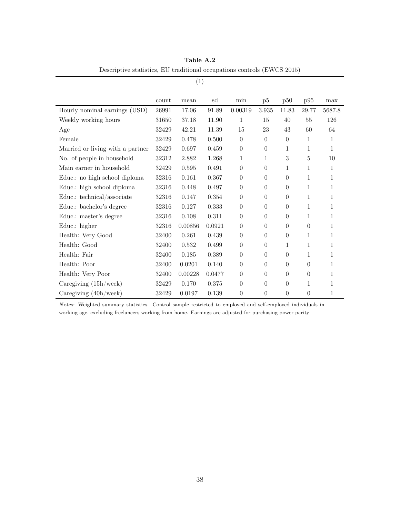|                                  | count | mean    | sd     | min              | p5             | p50      | p95          | max          |
|----------------------------------|-------|---------|--------|------------------|----------------|----------|--------------|--------------|
| Hourly nominal earnings (USD)    | 26991 | 17.06   | 91.89  | 0.00319          | 3.935          | 11.83    | 29.77        | 5687.8       |
| Weekly working hours             | 31650 | 37.18   | 11.90  | 1                | 15             | 40       | 55           | 126          |
| Age                              | 32429 | 42.21   | 11.39  | 15               | 23             | 43       | 60           | 64           |
| Female                           | 32429 | 0.478   | 0.500  | $\overline{0}$   | $\theta$       | $\theta$ | 1            | 1            |
| Married or living with a partner | 32429 | 0.697   | 0.459  | $\boldsymbol{0}$ | $\theta$       | 1        | $\mathbf{1}$ | $\mathbf{1}$ |
| No. of people in household       | 32312 | 2.882   | 1.268  | 1                | 1              | 3        | 5            | 10           |
| Main earner in household         | 32429 | 0.595   | 0.491  | $\boldsymbol{0}$ | $\theta$       | 1        | 1            | 1            |
| Educ.: no high school diploma    | 32316 | 0.161   | 0.367  | $\overline{0}$   | $\theta$       | $\theta$ | $\mathbf{1}$ | 1            |
| Educ.: high school diploma       | 32316 | 0.448   | 0.497  | $\overline{0}$   | $\theta$       | $\theta$ | $\mathbf{1}$ | 1            |
| Educ.: technical/associate       | 32316 | 0.147   | 0.354  | $\theta$         | $\theta$       | $\theta$ | $\mathbf{1}$ | 1            |
| Educ.: bachelor's degree         | 32316 | 0.127   | 0.333  | $\overline{0}$   | $\theta$       | $\theta$ | 1            | 1            |
| Educ.: master's degree           | 32316 | 0.108   | 0.311  | $\boldsymbol{0}$ | $\theta$       | $\theta$ | 1            | $\mathbf{1}$ |
| Educ.: higher                    | 32316 | 0.00856 | 0.0921 | $\overline{0}$   | $\Omega$       | $\Omega$ | $\Omega$     | 1            |
| Health: Very Good                | 32400 | 0.261   | 0.439  | $\boldsymbol{0}$ | $\theta$       | $\theta$ | $\mathbf{1}$ | 1            |
| Health: Good                     | 32400 | 0.532   | 0.499  | $\overline{0}$   | $\theta$       | 1        | 1            | 1            |
| Health: Fair                     | 32400 | 0.185   | 0.389  | $\theta$         | $\theta$       | $\theta$ | 1            | 1            |
| Health: Poor                     | 32400 | 0.0201  | 0.140  | $\boldsymbol{0}$ | $\theta$       | $\theta$ | $\theta$     | 1            |
| Health: Very Poor                | 32400 | 0.00228 | 0.0477 | $\overline{0}$   | $\theta$       | $\theta$ | $\theta$     | 1            |
| Caregiving $(15h/$ week)         | 32429 | 0.170   | 0.375  | $\boldsymbol{0}$ | $\overline{0}$ | $\theta$ | 1            | 1            |
| Caregiving $(40h/\text{week})$   | 32429 | 0.0197  | 0.139  | $\theta$         | $\theta$       | $\theta$ | $\theta$     | 1            |

Table A.2 Descriptive statistics, EU traditional occupations controls (EWCS 2015)

(1)

N otes: Weighted summary statistics. Control sample restricted to employed and self-employed individuals in working age, excluding freelancers working from home. Earnings are adjusted for purchasing power parity